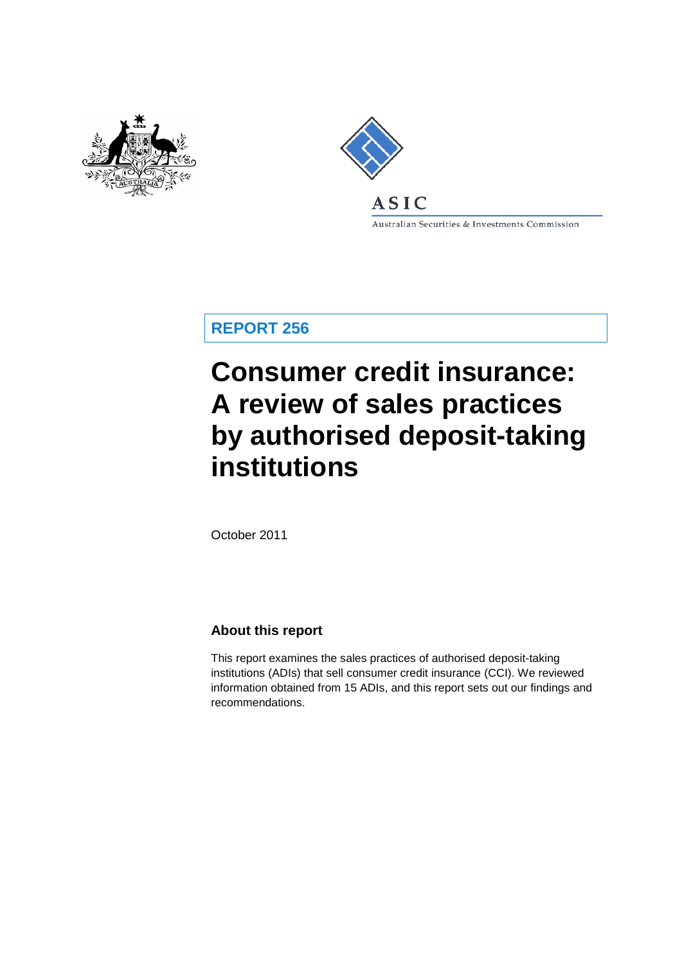



ASIC

Australian Securities & Investments Commission

**REPORT 256**

# **Consumer credit insurance: A review of sales practices by authorised deposit-taking institutions**

October 2011

## **About this report**

<span id="page-0-0"></span>This report examines the sales practices of authorised deposit-taking institutions (ADIs) that sell consumer credit insurance (CCI). We reviewed information obtained from 15 ADIs, and this report sets out our findings and recommendations.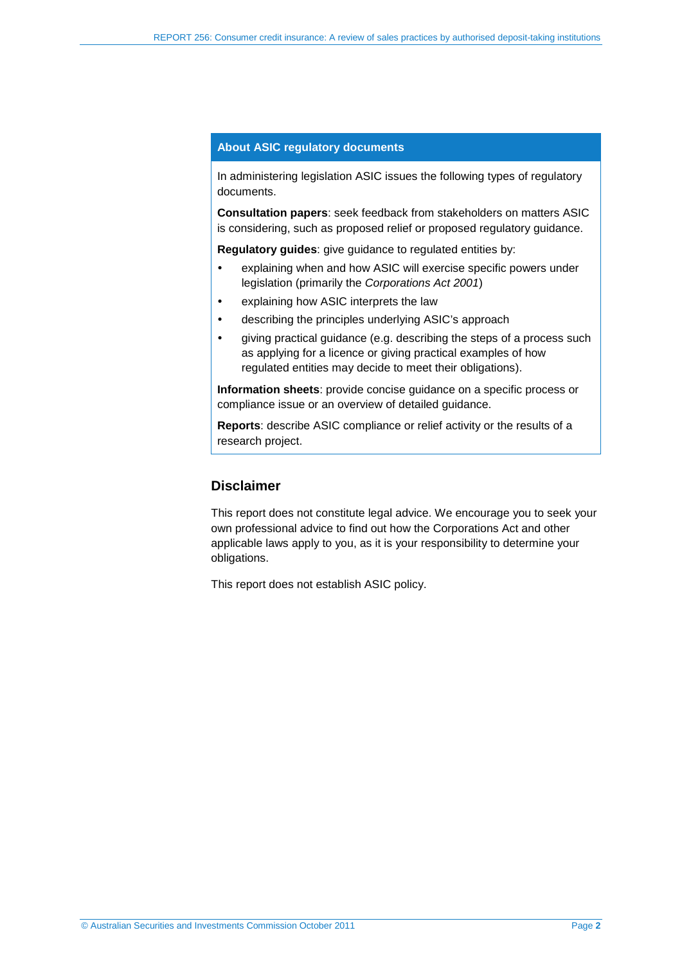#### **About ASIC regulatory documents**

In administering legislation ASIC issues the following types of regulatory documents.

**Consultation papers**: seek feedback from stakeholders on matters ASIC is considering, such as proposed relief or proposed regulatory guidance.

**Regulatory guides**: give guidance to regulated entities by:

- explaining when and how ASIC will exercise specific powers under legislation (primarily the *Corporations Act 2001*)
- explaining how ASIC interprets the law
- describing the principles underlying ASIC's approach
- aiving practical quidance (e.g. describing the steps of a process such as applying for a licence or giving practical examples of how regulated entities may decide to meet their obligations).

**Information sheets**: provide concise guidance on a specific process or compliance issue or an overview of detailed guidance.

**Reports**: describe ASIC compliance or relief activity or the results of a research project.

## **Disclaimer**

This report does not constitute legal advice. We encourage you to seek your own professional advice to find out how the Corporations Act and other applicable laws apply to you, as it is your responsibility to determine your obligations.

This report does not establish ASIC policy.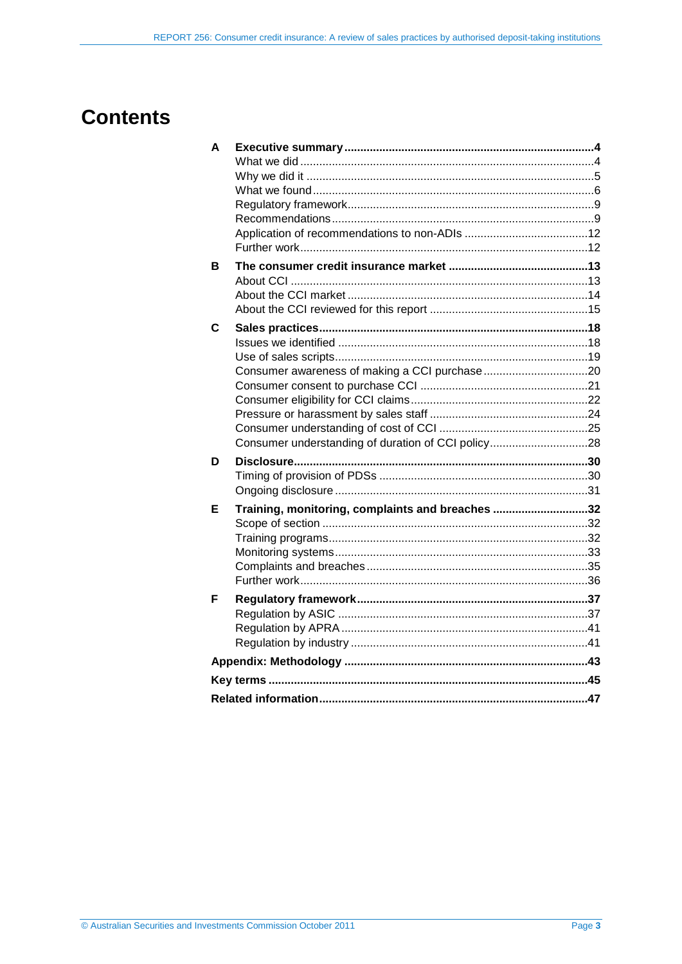# **Contents**

| A           |                                                    |  |
|-------------|----------------------------------------------------|--|
|             |                                                    |  |
|             |                                                    |  |
|             |                                                    |  |
|             |                                                    |  |
|             |                                                    |  |
|             |                                                    |  |
|             |                                                    |  |
| в           |                                                    |  |
|             |                                                    |  |
|             |                                                    |  |
|             |                                                    |  |
| $\mathbf c$ |                                                    |  |
|             |                                                    |  |
|             |                                                    |  |
|             |                                                    |  |
|             |                                                    |  |
|             |                                                    |  |
|             |                                                    |  |
|             |                                                    |  |
|             | Consumer understanding of duration of CCI policy28 |  |
| D           |                                                    |  |
|             |                                                    |  |
|             |                                                    |  |
| Е           | Training, monitoring, complaints and breaches 32   |  |
|             |                                                    |  |
|             |                                                    |  |
|             |                                                    |  |
|             |                                                    |  |
|             |                                                    |  |
| F           |                                                    |  |
|             |                                                    |  |
|             |                                                    |  |
|             |                                                    |  |
|             |                                                    |  |
|             |                                                    |  |
|             |                                                    |  |
|             |                                                    |  |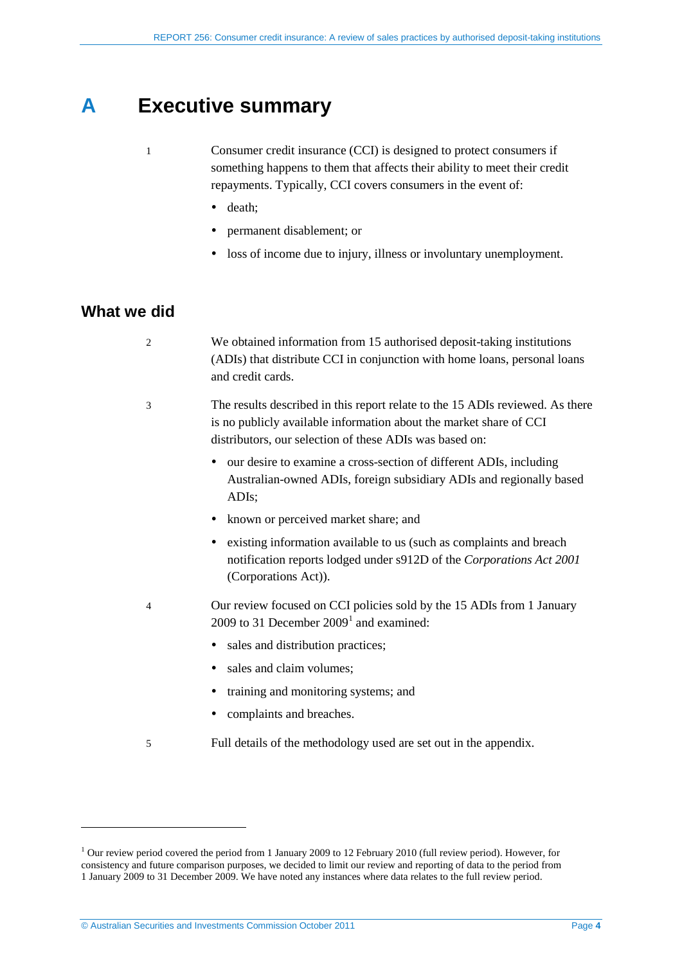# **A Executive summary**

- <span id="page-3-0"></span>1 Consumer credit insurance (CCI) is designed to protect consumers if something happens to them that affects their ability to meet their credit repayments. Typically, CCI covers consumers in the event of:
	- death;
	- permanent disablement; or
	- loss of income due to injury, illness or involuntary unemployment.

## <span id="page-3-1"></span>**What we did**

<u>.</u>

2 We obtained information from 15 authorised deposit-taking institutions (ADIs) that distribute CCI in conjunction with home loans, personal loans and credit cards.

- 3 The results described in this report relate to the 15 ADIs reviewed. As there is no publicly available information about the market share of CCI distributors, our selection of these ADIs was based on:
	- our desire to examine a cross-section of different ADIs, including Australian-owned ADIs, foreign subsidiary ADIs and regionally based ADIs;
	- known or perceived market share; and
	- existing information available to us (such as complaints and breach notification reports lodged under s912D of the *Corporations Act 2001* (Corporations Act)).
- <span id="page-3-2"></span>4 Our review focused on CCI policies sold by the 15 ADIs from 1 January 2009 to 3[1](#page-0-0) December  $2009<sup>1</sup>$  and examined:
	- sales and distribution practices;
	- sales and claim volumes;
	- training and monitoring systems; and
	- complaints and breaches.
- 5 Full details of the methodology used are set out in the appendix.

<sup>&</sup>lt;sup>1</sup> Our review period covered the period from 1 January 2009 to 12 February 2010 (full review period). However, for consistency and future comparison purposes, we decided to limit our review and reporting of data to the period from 1 January 2009 to 31 December 2009. We have noted any instances where data relates to the full review period.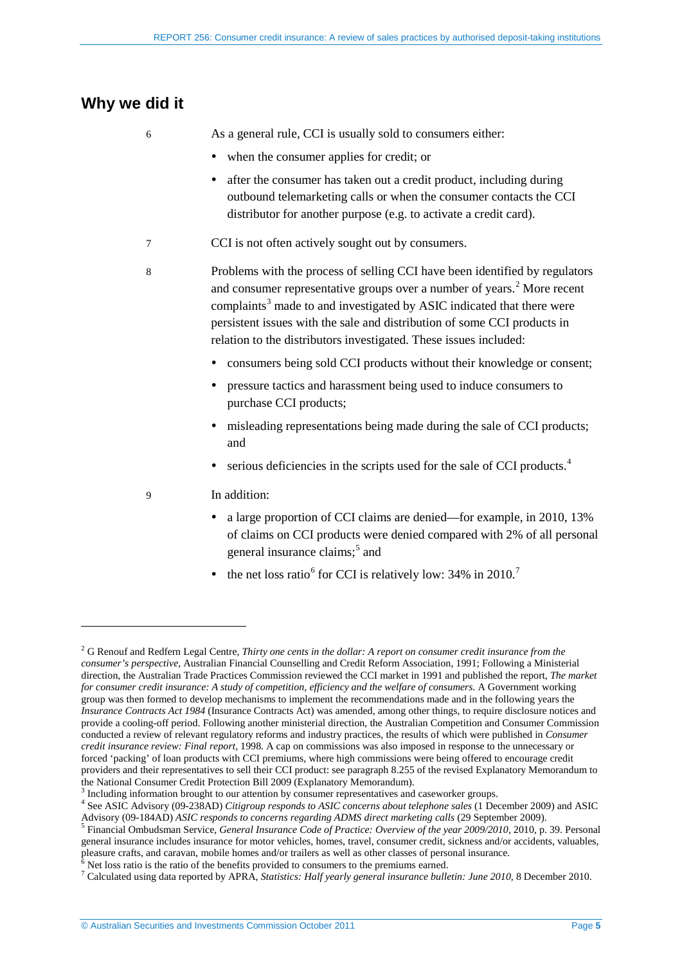# <span id="page-4-0"></span>**Why we did it**

<u>.</u>

6 As a general rule, CCI is usually sold to consumers either:

- when the consumer applies for credit; or
- after the consumer has taken out a credit product, including during outbound telemarketing calls or when the consumer contacts the CCI distributor for another purpose (e.g. to activate a credit card).
- 7 CCI is not often actively sought out by consumers.
- 8 Problems with the process of selling CCI have been identified by regulators and consumer representative groups over a number of years.<sup>[2](#page-3-2)</sup> More recent complaints<sup>[3](#page-4-1)</sup> made to and investigated by ASIC indicated that there were persistent issues with the sale and distribution of some CCI products in relation to the distributors investigated. These issues included:
	- consumers being sold CCI products without their knowledge or consent;
	- pressure tactics and harassment being used to induce consumers to purchase CCI products;
	- misleading representations being made during the sale of CCI products; and
	- serious deficiencies in the scripts used for the sale of CCI products.<sup>[4](#page-4-2)</sup>
- 9 In addition:
	- a large proportion of CCI claims are denied—for example, in 2010, 13% of claims on CCI products were denied compared with 2% of all personal general insurance claims; [5](#page-4-3) and
	- the net loss ratio<sup>[6](#page-4-4)</sup> for CCI is relatively low:  $34\%$  in  $2010$ .<sup>[7](#page-4-5)</sup>

<sup>2</sup> G Renouf and Redfern Legal Centre, *Thirty one cents in the dollar: A report on consumer credit insurance from the consumer's perspective,* Australian Financial Counselling and Credit Reform Association, 1991; Following a Ministerial direction, the Australian Trade Practices Commission reviewed the CCI market in 1991 and published the report, *The market for consumer credit insurance: A study of competition, efficiency and the welfare of consumers*. A Government working group was then formed to develop mechanisms to implement the recommendations made and in the following years the *Insurance Contracts Act 1984* (Insurance Contracts Act) was amended, among other things, to require disclosure notices and provide a cooling-off period. Following another ministerial direction, the Australian Competition and Consumer Commission conducted a review of relevant regulatory reforms and industry practices, the results of which were published in *Consumer credit insurance review: Final report,* 1998. A cap on commissions was also imposed in response to the unnecessary or forced 'packing' of loan products with CCI premiums, where high commissions were being offered to encourage credit providers and their representatives to sell their CCI product: see paragraph 8.255 of the revised Explanatory Memorandum to the National Consumer Credit Protection Bill 2009 (Explanatory Memorandum).

<span id="page-4-2"></span><span id="page-4-1"></span> $3$  Including information brought to our attention by consumer representatives and caseworker groups.<br> $4$  See ASIC Advisory (09-238AD) Citigroup responds to ASIC concerns about telephone sales (1 December 2009) and ASIC Advisory (09-184AD) ASIC responds to concerns regarding ADMS direct marketing calls (29 September 2009).<br><sup>5</sup> Financial Ombudsman Service, General Insurance Code of Practice: Overview of the year 2009/2010, 2010, p. 39. Per

<span id="page-4-3"></span>general insurance includes insurance for motor vehicles, homes, travel, consumer credit, sickness and/or accidents, valuables, pleasure crafts, and caravan, mobile homes and/or trailers as well as other classes of personal insurance.<br><sup>6</sup> Net loss ratio is the ratio of the benefits provided to consumers to the premiums earned.<br><sup>7</sup> Calculated using

<span id="page-4-4"></span>

<span id="page-4-5"></span>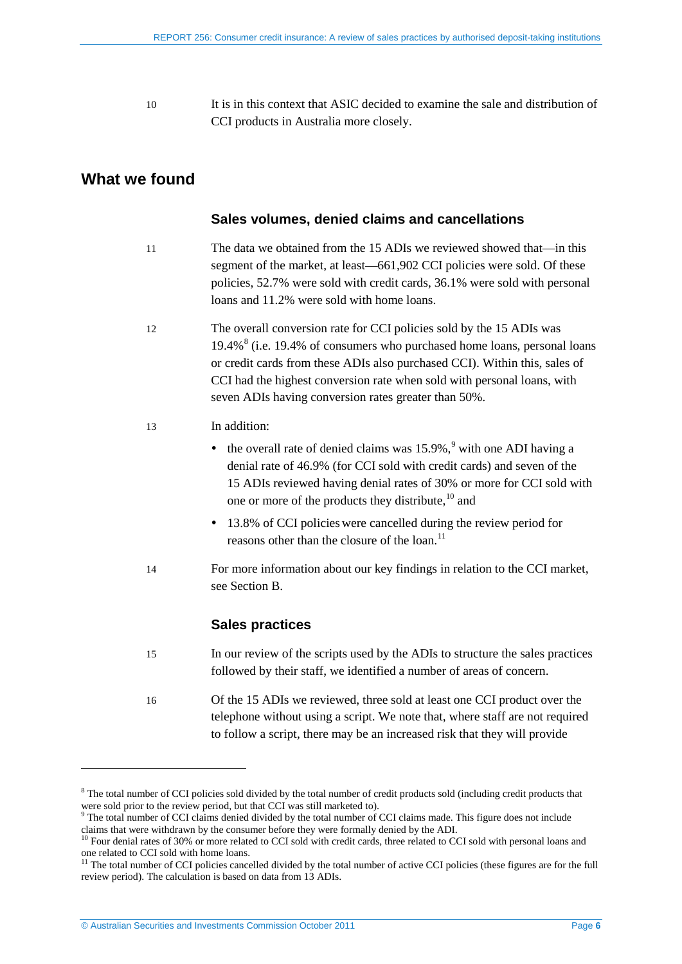10 It is in this context that ASIC decided to examine the sale and distribution of CCI products in Australia more closely.

## <span id="page-5-0"></span>**What we found**

#### **Sales volumes, denied claims and cancellations**

- 11 The data we obtained from the 15 ADIs we reviewed showed that—in this segment of the market, at least—661,902 CCI policies were sold. Of these policies, 52.7% were sold with credit cards, 36.1% were sold with personal loans and 11.2% were sold with home loans.
- 12 The overall conversion rate for CCI policies sold by the 15 ADIs was  $19.4\%$ <sup>[8](#page-4-1)</sup> (i.e. 19.4% of consumers who purchased home loans, personal loans or credit cards from these ADIs also purchased CCI). Within this, sales of CCI had the highest conversion rate when sold with personal loans, with seven ADIs having conversion rates greater than 50%.

#### 13 In addition:

- $\bullet$  the overall rate of denied claims was 15.[9](#page-5-1)%,<sup>9</sup> with one ADI having a denial rate of 46.9% (for CCI sold with credit cards) and seven of the 15 ADIs reviewed having denial rates of 30% or more for CCI sold with one or more of the products they distribute, <sup>[10](#page-5-2)</sup> and
- 13.8% of CCI policieswere cancelled during the review period for reasons other than the closure of the loan.<sup>[11](#page-5-3)</sup>
- 14 For more information about our key findings in relation to the CCI market, see Section [B.](#page-12-0)

#### **Sales practices**

| 15 | In our review of the scripts used by the ADIs to structure the sales practices |
|----|--------------------------------------------------------------------------------|
|    | followed by their staff, we identified a number of areas of concern.           |

16 Of the 15 ADIs we reviewed, three sold at least one CCI product over the telephone without using a script. We note that, where staff are not required to follow a script, there may be an increased risk that they will provide

<sup>&</sup>lt;sup>8</sup> The total number of CCI policies sold divided by the total number of credit products sold (including credit products that were sold prior to the review period, but that CCI was still marketed to).<br><sup>9</sup> The total number of CCI claims denied divided by the total number of CCI claims made. This figure does not include

<span id="page-5-1"></span>claims that were withdrawn by the consumer before they were formally denied by the ADI.

<span id="page-5-2"></span><sup>&</sup>lt;sup>10</sup> Four denial rates of 30% or more related to CCI sold with credit cards, three related to CCI sold with personal loans and one related to CCI sold with home loans.

<span id="page-5-3"></span><sup>&</sup>lt;sup>11</sup> The total number of CCI policies cancelled divided by the total number of active CCI policies (these figures are for the full review period). The calculation is based on data from 13 ADIs.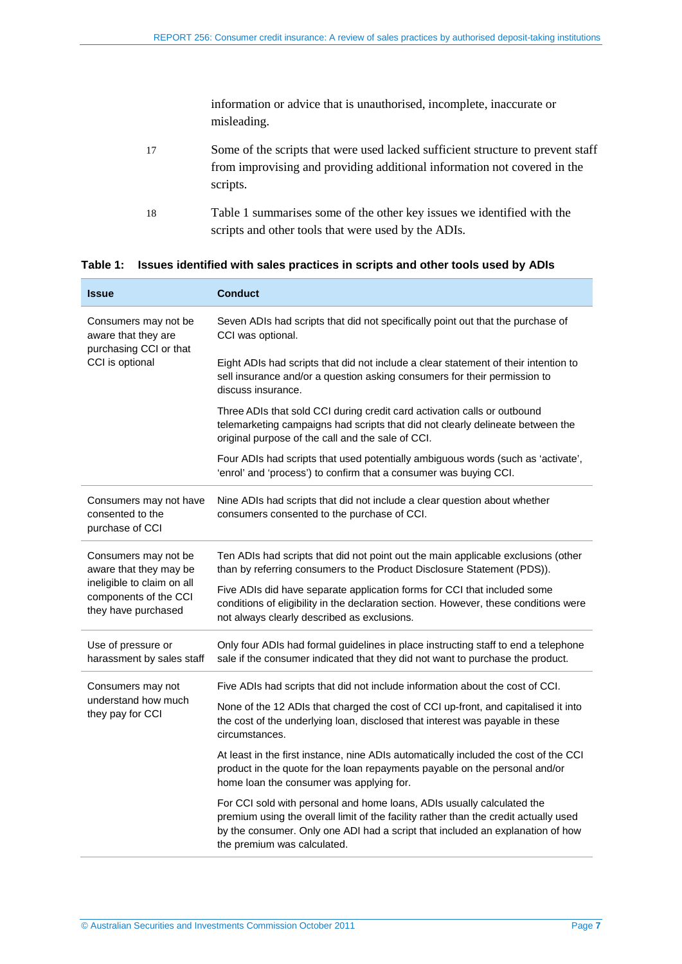information or advice that is unauthorised, incomplete, inaccurate or misleading.

- 17 Some of the scripts that were used lacked sufficient structure to prevent staff from improvising and providing additional information not covered in the scripts.
- 18 [Table 1](#page-6-0) summarises some of the other key issues we identified with the scripts and other tools that were used by the ADIs.

<span id="page-6-0"></span>

|  | Table 1: Issues identified with sales practices in scripts and other tools used by ADIs |  |  |
|--|-----------------------------------------------------------------------------------------|--|--|
|--|-----------------------------------------------------------------------------------------|--|--|

| <b>Issue</b>                                                               | <b>Conduct</b>                                                                                                                                                                                                                                                                  |
|----------------------------------------------------------------------------|---------------------------------------------------------------------------------------------------------------------------------------------------------------------------------------------------------------------------------------------------------------------------------|
| Consumers may not be<br>aware that they are<br>purchasing CCI or that      | Seven ADIs had scripts that did not specifically point out that the purchase of<br>CCI was optional.                                                                                                                                                                            |
| CCI is optional                                                            | Eight ADIs had scripts that did not include a clear statement of their intention to<br>sell insurance and/or a question asking consumers for their permission to<br>discuss insurance.                                                                                          |
|                                                                            | Three ADIs that sold CCI during credit card activation calls or outbound<br>telemarketing campaigns had scripts that did not clearly delineate between the<br>original purpose of the call and the sale of CCI.                                                                 |
|                                                                            | Four ADIs had scripts that used potentially ambiguous words (such as 'activate',<br>'enrol' and 'process') to confirm that a consumer was buying CCI.                                                                                                                           |
| Consumers may not have<br>consented to the<br>purchase of CCI              | Nine ADIs had scripts that did not include a clear question about whether<br>consumers consented to the purchase of CCI.                                                                                                                                                        |
| Consumers may not be<br>aware that they may be                             | Ten ADIs had scripts that did not point out the main applicable exclusions (other<br>than by referring consumers to the Product Disclosure Statement (PDS)).                                                                                                                    |
| ineligible to claim on all<br>components of the CCI<br>they have purchased | Five ADIs did have separate application forms for CCI that included some<br>conditions of eligibility in the declaration section. However, these conditions were<br>not always clearly described as exclusions.                                                                 |
| Use of pressure or<br>harassment by sales staff                            | Only four ADIs had formal guidelines in place instructing staff to end a telephone<br>sale if the consumer indicated that they did not want to purchase the product.                                                                                                            |
| Consumers may not                                                          | Five ADIs had scripts that did not include information about the cost of CCI.                                                                                                                                                                                                   |
| understand how much<br>they pay for CCI                                    | None of the 12 ADIs that charged the cost of CCI up-front, and capitalised it into<br>the cost of the underlying loan, disclosed that interest was payable in these<br>circumstances.                                                                                           |
|                                                                            | At least in the first instance, nine ADIs automatically included the cost of the CCI<br>product in the quote for the loan repayments payable on the personal and/or<br>home loan the consumer was applying for.                                                                 |
|                                                                            | For CCI sold with personal and home loans, ADIs usually calculated the<br>premium using the overall limit of the facility rather than the credit actually used<br>by the consumer. Only one ADI had a script that included an explanation of how<br>the premium was calculated. |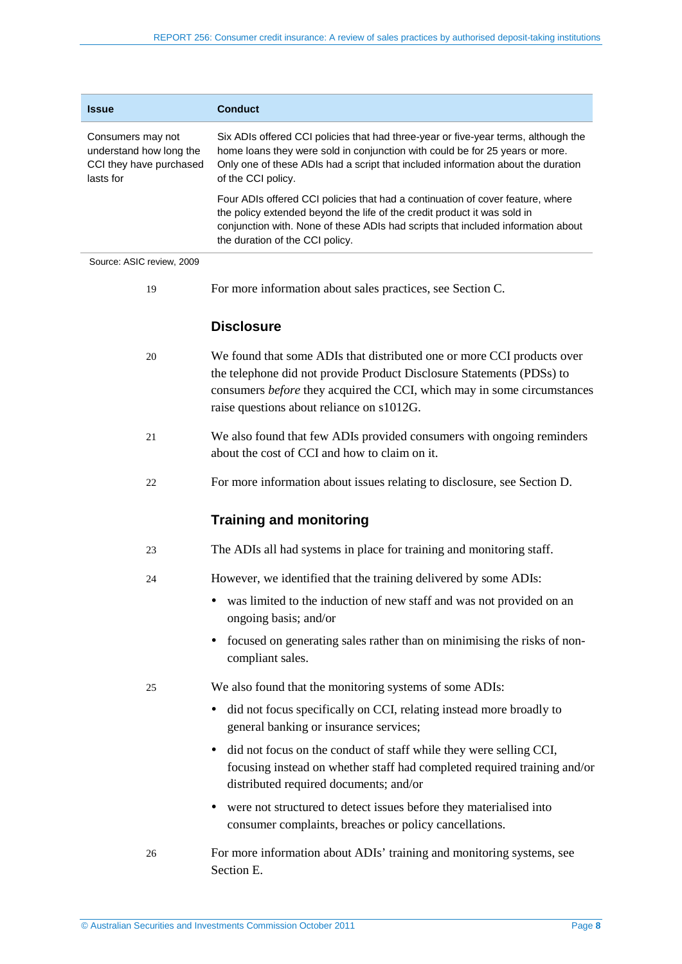| <b>Issue</b>                                                                         | <b>Conduct</b>                                                                                                                                                                                                                                                                    |
|--------------------------------------------------------------------------------------|-----------------------------------------------------------------------------------------------------------------------------------------------------------------------------------------------------------------------------------------------------------------------------------|
| Consumers may not<br>understand how long the<br>CCI they have purchased<br>lasts for | Six ADIs offered CCI policies that had three-year or five-year terms, although the<br>home loans they were sold in conjunction with could be for 25 years or more.<br>Only one of these ADIs had a script that included information about the duration<br>of the CCI policy.      |
|                                                                                      | Four ADIs offered CCI policies that had a continuation of cover feature, where<br>the policy extended beyond the life of the credit product it was sold in<br>conjunction with. None of these ADIs had scripts that included information about<br>the duration of the CCI policy. |
| Source: ASIC review, 2009                                                            |                                                                                                                                                                                                                                                                                   |
| 19                                                                                   | For more information about sales practices, see Section C.                                                                                                                                                                                                                        |
|                                                                                      | <b>Disclosure</b>                                                                                                                                                                                                                                                                 |
| 20                                                                                   | We found that some ADIs that distributed one or more CCI products over<br>the telephone did not provide Product Disclosure Statements (PDSs) to<br>consumers before they acquired the CCI, which may in some circumstances<br>raise questions about reliance on s1012G.           |
| 21                                                                                   | We also found that few ADIs provided consumers with ongoing reminders<br>about the cost of CCI and how to claim on it.                                                                                                                                                            |
| 22                                                                                   | For more information about issues relating to disclosure, see Section D.                                                                                                                                                                                                          |
|                                                                                      | <b>Training and monitoring</b>                                                                                                                                                                                                                                                    |
| 23                                                                                   | The ADIs all had systems in place for training and monitoring staff.                                                                                                                                                                                                              |
| 24                                                                                   | However, we identified that the training delivered by some ADIs:                                                                                                                                                                                                                  |
|                                                                                      | was limited to the induction of new staff and was not provided on an<br>ongoing basis; and/or                                                                                                                                                                                     |
|                                                                                      | focused on generating sales rather than on minimising the risks of non-<br>$\bullet$<br>compliant sales.                                                                                                                                                                          |
| 25                                                                                   | We also found that the monitoring systems of some ADIs:                                                                                                                                                                                                                           |
|                                                                                      | • did not focus specifically on CCI, relating instead more broadly to                                                                                                                                                                                                             |

- did not focus specifically on CCI, relating instead more broadly to general banking or insurance services;
- did not focus on the conduct of staff while they were selling CCI, focusing instead on whether staff had completed required training and/or distributed required documents; and/or
- were not structured to detect issues before they materialised into consumer complaints, breaches or policy cancellations.
- 26 For more information about ADIs' training and monitoring systems, see Section [E.](#page-31-0)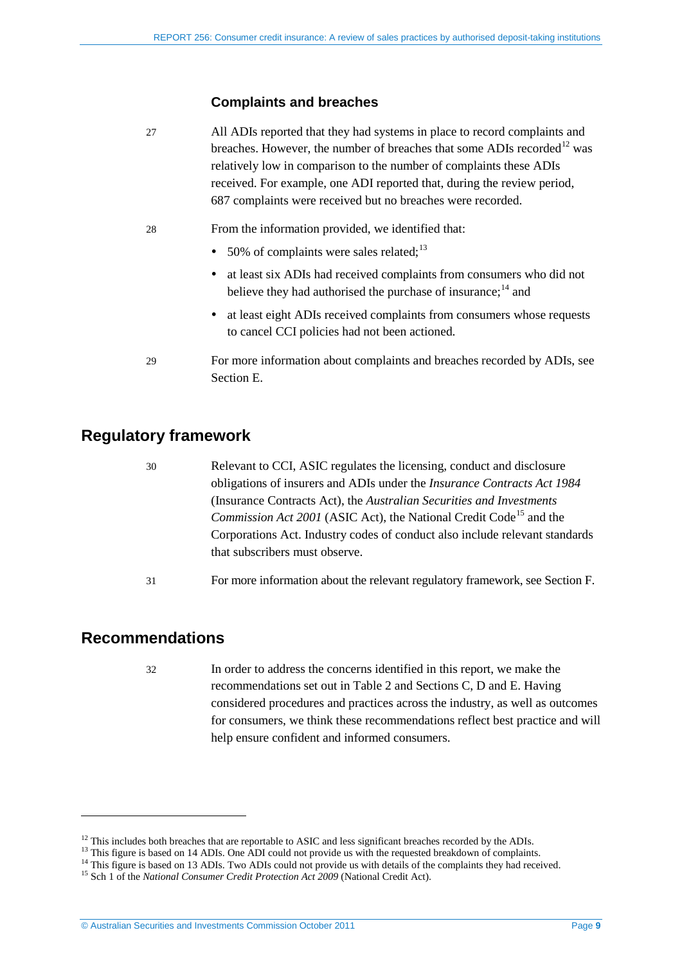## **Complaints and breaches**

27 All ADIs reported that they had systems in place to record complaints and breaches. However, the number of breaches that some ADIs recorded<sup>[12](#page-5-2)</sup> was relatively low in comparison to the number of complaints these ADIs received. For example, one ADI reported that, during the review period, 687 complaints were received but no breaches were recorded.

- 28 From the information provided, we identified that:
	- 50% of complaints were sales related; $^{13}$  $^{13}$  $^{13}$
	- at least six ADIs had received complaints from consumers who did not believe they had authorised the purchase of insurance;<sup>[14](#page-8-3)</sup> and
	- at least eight ADIs received complaints from consumers whose requests to cancel CCI policies had not been actioned.
- 29 For more information about complaints and breaches recorded by ADIs, see Section [E.](#page-31-0)

# <span id="page-8-0"></span>**Regulatory framework**

- 30 Relevant to CCI, ASIC regulates the licensing, conduct and disclosure obligations of insurers and ADIs under the *Insurance Contracts Act 1984*  (Insurance Contracts Act), the *Australian Securities and Investments Commission Act 2001* (ASIC Act), the National Credit Code<sup>[15](#page-8-4)</sup> and the Corporations Act. Industry codes of conduct also include relevant standards that subscribers must observe.
- 31 For more information about the relevant regulatory framework, see Section [F.](#page-36-0)

# <span id="page-8-1"></span>**Recommendations**

-

32 In order to address the concerns identified in this report, we make the recommendations set out in [Table 2](#page-9-0) and Sections [C,](#page-17-0) D and [E.](#page-31-0) Having considered procedures and practices across the industry, as well as outcomes for consumers, we think these recommendations reflect best practice and will help ensure confident and informed consumers.

<span id="page-8-3"></span><span id="page-8-2"></span>

<sup>&</sup>lt;sup>12</sup> This includes both breaches that are reportable to ASIC and less significant breaches recorded by the ADIs.<br><sup>13</sup> This figure is based on 14 ADIs. One ADI could not provide us with the requested breakdown of complaint

<span id="page-8-4"></span>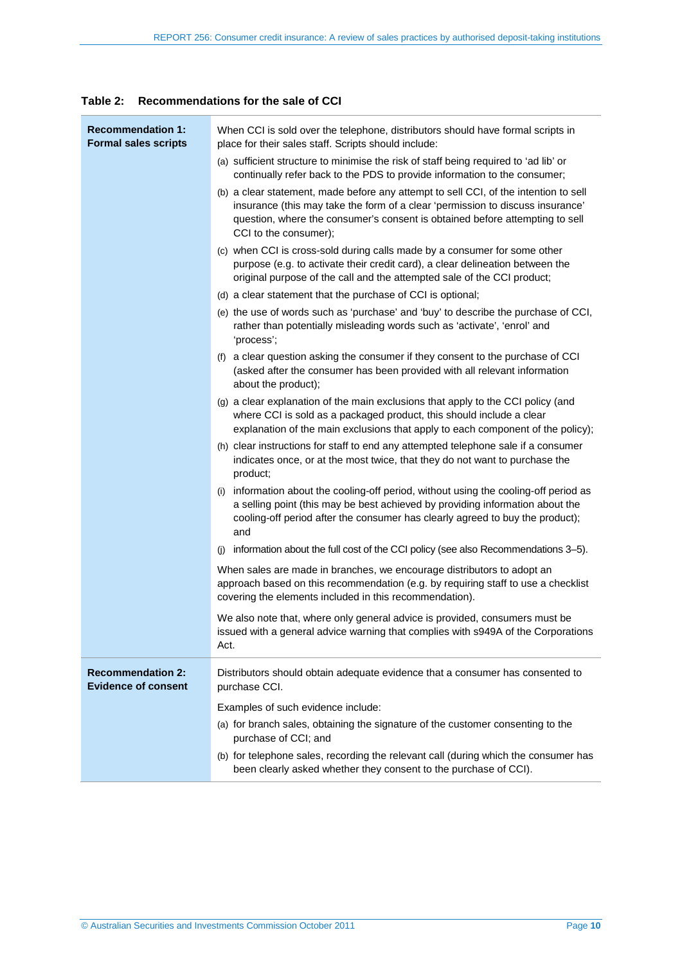#### <span id="page-9-0"></span>**Table 2: Recommendations for the sale of CCI**

| <b>Recommendation 1:</b><br><b>Formal sales scripts</b> | When CCI is sold over the telephone, distributors should have formal scripts in<br>place for their sales staff. Scripts should include:<br>(a) sufficient structure to minimise the risk of staff being required to 'ad lib' or                                                                                                                              |
|---------------------------------------------------------|--------------------------------------------------------------------------------------------------------------------------------------------------------------------------------------------------------------------------------------------------------------------------------------------------------------------------------------------------------------|
|                                                         | continually refer back to the PDS to provide information to the consumer;<br>(b) a clear statement, made before any attempt to sell CCI, of the intention to sell<br>insurance (this may take the form of a clear 'permission to discuss insurance'<br>question, where the consumer's consent is obtained before attempting to sell<br>CCI to the consumer); |
|                                                         | (c) when CCI is cross-sold during calls made by a consumer for some other<br>purpose (e.g. to activate their credit card), a clear delineation between the<br>original purpose of the call and the attempted sale of the CCI product;                                                                                                                        |
|                                                         | (d) a clear statement that the purchase of CCI is optional;                                                                                                                                                                                                                                                                                                  |
|                                                         | (e) the use of words such as 'purchase' and 'buy' to describe the purchase of CCI,<br>rather than potentially misleading words such as 'activate', 'enrol' and<br>'process';                                                                                                                                                                                 |
|                                                         | (f) a clear question asking the consumer if they consent to the purchase of CCI<br>(asked after the consumer has been provided with all relevant information<br>about the product);                                                                                                                                                                          |
|                                                         | (g) a clear explanation of the main exclusions that apply to the CCI policy (and<br>where CCI is sold as a packaged product, this should include a clear<br>explanation of the main exclusions that apply to each component of the policy);                                                                                                                  |
|                                                         | (h) clear instructions for staff to end any attempted telephone sale if a consumer<br>indicates once, or at the most twice, that they do not want to purchase the<br>product;                                                                                                                                                                                |
|                                                         | information about the cooling-off period, without using the cooling-off period as<br>(i)<br>a selling point (this may be best achieved by providing information about the<br>cooling-off period after the consumer has clearly agreed to buy the product);<br>and                                                                                            |
|                                                         | information about the full cost of the CCI policy (see also Recommendations 3-5).<br>(i)                                                                                                                                                                                                                                                                     |
|                                                         | When sales are made in branches, we encourage distributors to adopt an<br>approach based on this recommendation (e.g. by requiring staff to use a checklist<br>covering the elements included in this recommendation).                                                                                                                                       |
|                                                         | We also note that, where only general advice is provided, consumers must be<br>issued with a general advice warning that complies with s949A of the Corporations<br>Act.                                                                                                                                                                                     |
| <b>Recommendation 2:</b><br><b>Evidence of consent</b>  | Distributors should obtain adequate evidence that a consumer has consented to<br>purchase CCI.                                                                                                                                                                                                                                                               |
|                                                         | Examples of such evidence include:                                                                                                                                                                                                                                                                                                                           |
|                                                         | (a) for branch sales, obtaining the signature of the customer consenting to the<br>purchase of CCI; and                                                                                                                                                                                                                                                      |
|                                                         | (b) for telephone sales, recording the relevant call (during which the consumer has<br>been clearly asked whether they consent to the purchase of CCI).                                                                                                                                                                                                      |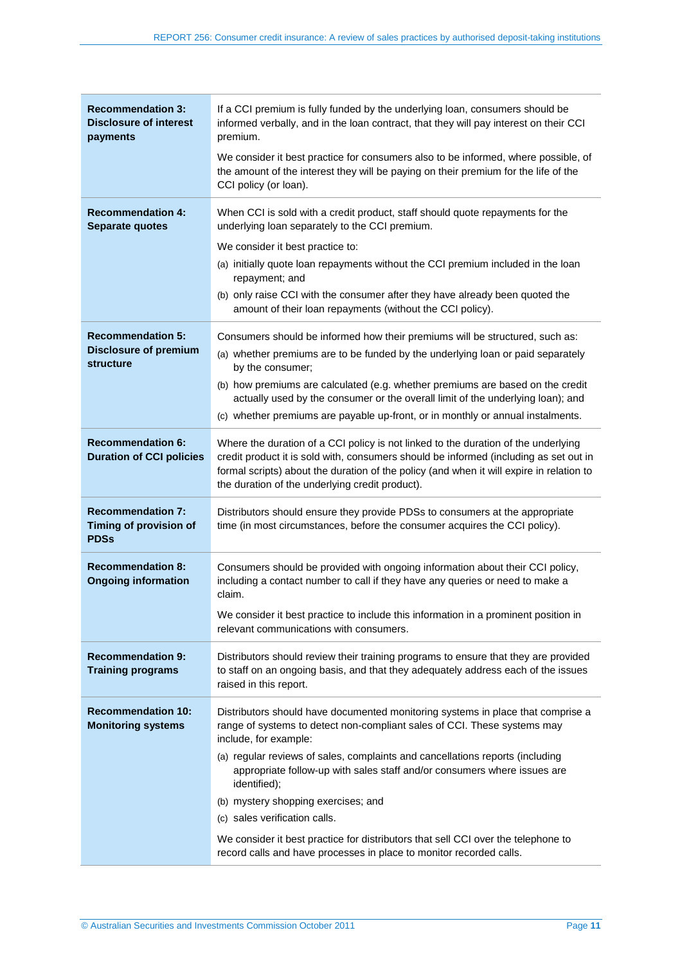| <b>Recommendation 3:</b><br><b>Disclosure of interest</b><br>payments | If a CCI premium is fully funded by the underlying loan, consumers should be<br>informed verbally, and in the loan contract, that they will pay interest on their CCI<br>premium.                                                                                                                                          |
|-----------------------------------------------------------------------|----------------------------------------------------------------------------------------------------------------------------------------------------------------------------------------------------------------------------------------------------------------------------------------------------------------------------|
|                                                                       | We consider it best practice for consumers also to be informed, where possible, of<br>the amount of the interest they will be paying on their premium for the life of the<br>CCI policy (or loan).                                                                                                                         |
| <b>Recommendation 4:</b><br><b>Separate quotes</b>                    | When CCI is sold with a credit product, staff should quote repayments for the<br>underlying loan separately to the CCI premium.                                                                                                                                                                                            |
|                                                                       | We consider it best practice to:                                                                                                                                                                                                                                                                                           |
|                                                                       | (a) initially quote loan repayments without the CCI premium included in the loan<br>repayment; and                                                                                                                                                                                                                         |
|                                                                       | (b) only raise CCI with the consumer after they have already been quoted the<br>amount of their loan repayments (without the CCI policy).                                                                                                                                                                                  |
| <b>Recommendation 5:</b>                                              | Consumers should be informed how their premiums will be structured, such as:                                                                                                                                                                                                                                               |
| <b>Disclosure of premium</b><br><b>structure</b>                      | (a) whether premiums are to be funded by the underlying loan or paid separately<br>by the consumer;                                                                                                                                                                                                                        |
|                                                                       | (b) how premiums are calculated (e.g. whether premiums are based on the credit<br>actually used by the consumer or the overall limit of the underlying loan); and                                                                                                                                                          |
|                                                                       | (c) whether premiums are payable up-front, or in monthly or annual instalments.                                                                                                                                                                                                                                            |
| <b>Recommendation 6:</b><br><b>Duration of CCI policies</b>           | Where the duration of a CCI policy is not linked to the duration of the underlying<br>credit product it is sold with, consumers should be informed (including as set out in<br>formal scripts) about the duration of the policy (and when it will expire in relation to<br>the duration of the underlying credit product). |
| <b>Recommendation 7:</b><br>Timing of provision of<br><b>PDSs</b>     | Distributors should ensure they provide PDSs to consumers at the appropriate<br>time (in most circumstances, before the consumer acquires the CCI policy).                                                                                                                                                                 |
| <b>Recommendation 8:</b><br><b>Ongoing information</b>                | Consumers should be provided with ongoing information about their CCI policy,<br>including a contact number to call if they have any queries or need to make a<br>claim.                                                                                                                                                   |
|                                                                       | We consider it best practice to include this information in a prominent position in<br>relevant communications with consumers.                                                                                                                                                                                             |
| <b>Recommendation 9:</b><br><b>Training programs</b>                  | Distributors should review their training programs to ensure that they are provided<br>to staff on an ongoing basis, and that they adequately address each of the issues<br>raised in this report.                                                                                                                         |
| <b>Recommendation 10:</b><br><b>Monitoring systems</b>                | Distributors should have documented monitoring systems in place that comprise a<br>range of systems to detect non-compliant sales of CCI. These systems may<br>include, for example:                                                                                                                                       |
|                                                                       | (a) regular reviews of sales, complaints and cancellations reports (including<br>appropriate follow-up with sales staff and/or consumers where issues are<br>identified);                                                                                                                                                  |
|                                                                       | (b) mystery shopping exercises; and                                                                                                                                                                                                                                                                                        |
|                                                                       | (c) sales verification calls.                                                                                                                                                                                                                                                                                              |
|                                                                       | We consider it best practice for distributors that sell CCI over the telephone to<br>record calls and have processes in place to monitor recorded calls.                                                                                                                                                                   |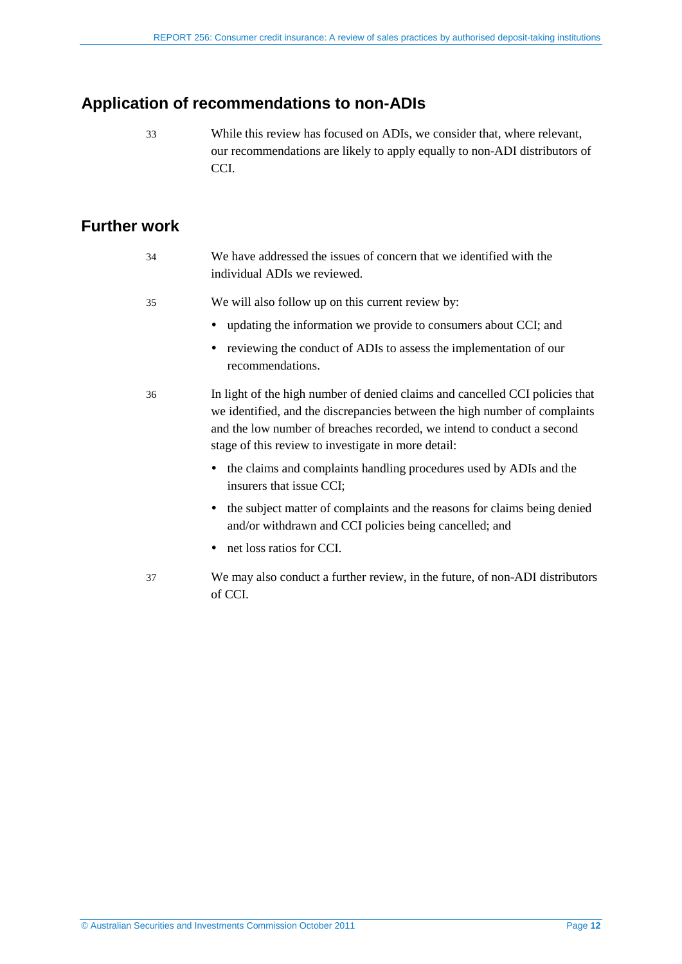# <span id="page-11-0"></span>**Application of recommendations to non-ADIs**

33 While this review has focused on ADIs, we consider that, where relevant, our recommendations are likely to apply equally to non-ADI distributors of CCI.

## <span id="page-11-1"></span>**Further work**

| - 34 | We have addressed the issues of concern that we identified with the |
|------|---------------------------------------------------------------------|
|      | individual ADIs we reviewed.                                        |

- 35 We will also follow up on this current review by:
	- updating the information we provide to consumers about CCI; and
	- reviewing the conduct of ADIs to assess the implementation of our recommendations.
- 36 In light of the high number of denied claims and cancelled CCI policies that we identified, and the discrepancies between the high number of complaints and the low number of breaches recorded, we intend to conduct a second stage of this review to investigate in more detail:
	- the claims and complaints handling procedures used by ADIs and the insurers that issue CCI;
	- the subject matter of complaints and the reasons for claims being denied and/or withdrawn and CCI policies being cancelled; and
	- net loss ratios for CCI.
- 37 We may also conduct a further review, in the future, of non-ADI distributors of CCI.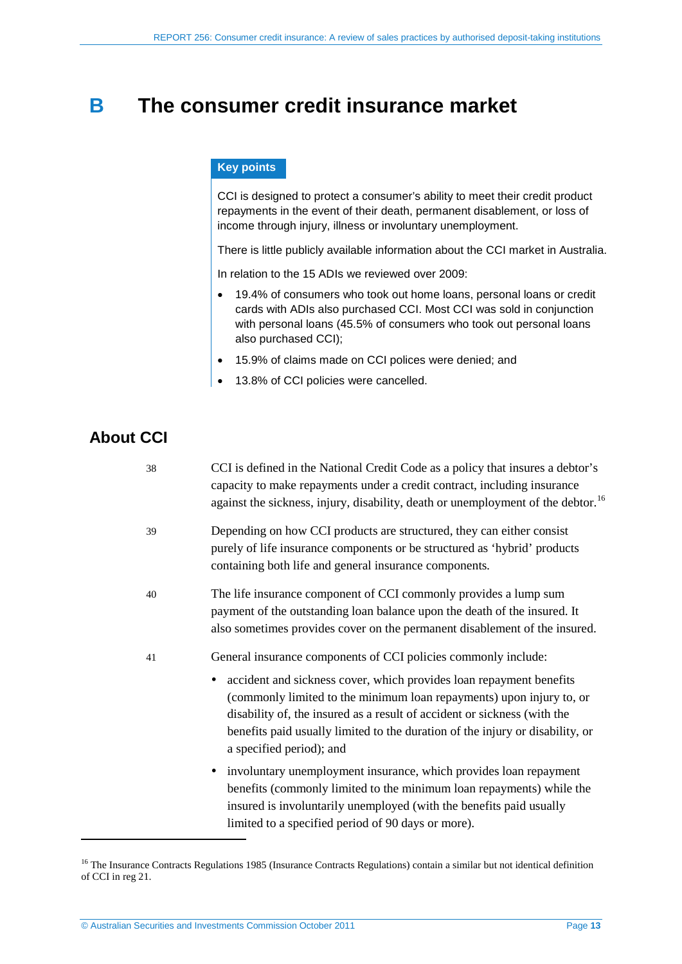# <span id="page-12-0"></span>**B The consumer credit insurance market**

### **Key points**

CCI is designed to protect a consumer's ability to meet their credit product repayments in the event of their death, permanent disablement, or loss of income through injury, illness or involuntary unemployment.

There is little publicly available information about the CCI market in Australia.

In relation to the 15 ADIs we reviewed over 2009:

- 19.4% of consumers who took out home loans, personal loans or credit cards with ADIs also purchased CCI. Most CCI was sold in conjunction with personal loans (45.5% of consumers who took out personal loans also purchased CCI);
- 15.9% of claims made on CCI polices were denied; and
- 13.8% of CCI policies were cancelled.

# <span id="page-12-1"></span>**About CCI**

| 38 | CCI is defined in the National Credit Code as a policy that insures a debtor's<br>capacity to make repayments under a credit contract, including insurance<br>against the sickness, injury, disability, death or unemployment of the debtor. <sup>16</sup>                                                                                                                                               |
|----|----------------------------------------------------------------------------------------------------------------------------------------------------------------------------------------------------------------------------------------------------------------------------------------------------------------------------------------------------------------------------------------------------------|
| 39 | Depending on how CCI products are structured, they can either consist<br>purely of life insurance components or be structured as 'hybrid' products<br>containing both life and general insurance components.                                                                                                                                                                                             |
| 40 | The life insurance component of CCI commonly provides a lump sum<br>payment of the outstanding loan balance upon the death of the insured. It<br>also sometimes provides cover on the permanent disablement of the insured.                                                                                                                                                                              |
| 41 | General insurance components of CCI policies commonly include:<br>• accident and sickness cover, which provides loan repayment benefits<br>(commonly limited to the minimum loan repayments) upon injury to, or<br>disability of, the insured as a result of accident or sickness (with the<br>benefits paid usually limited to the duration of the injury or disability, or<br>a specified period); and |
|    | • involuntary unemployment insurance, which provides loan repayment<br>benefits (commonly limited to the minimum loan repayments) while the<br>insured is involuntarily unemployed (with the benefits paid usually<br>limited to a specified period of 90 days or more).                                                                                                                                 |

<span id="page-12-2"></span><sup>&</sup>lt;sup>16</sup> The Insurance Contracts Regulations 1985 (Insurance Contracts Regulations) contain a similar but not identical definition of CCI in reg 21.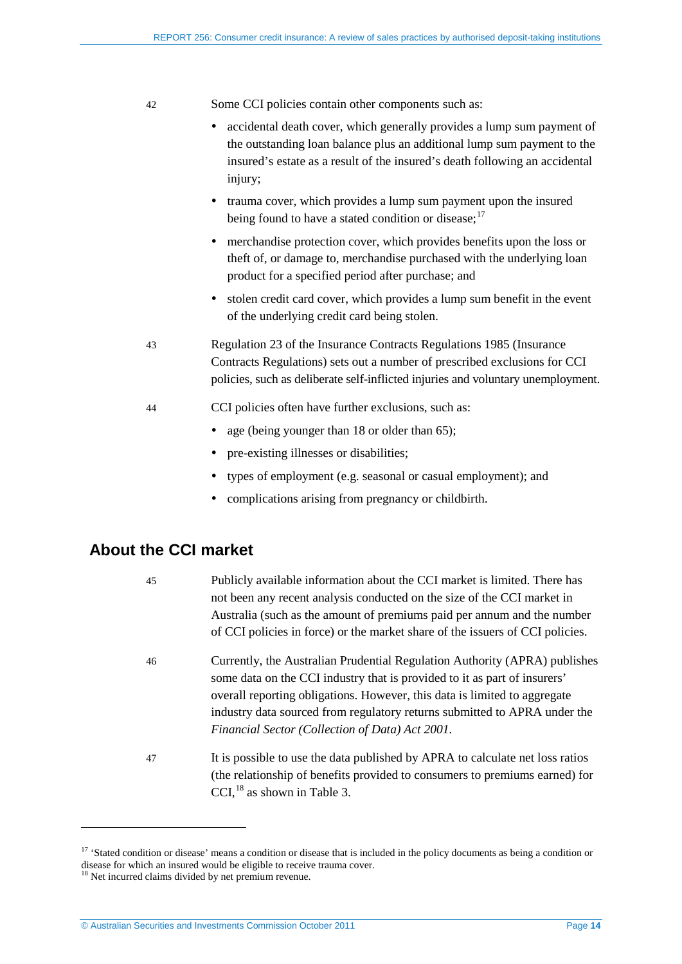#### 42 Some CCI policies contain other components such as:

- accidental death cover, which generally provides a lump sum payment of the outstanding loan balance plus an additional lump sum payment to the insured's estate as a result of the insured's death following an accidental injury;
- trauma cover, which provides a lump sum payment upon the insured being found to have a stated condition or disease; $17$
- merchandise protection cover, which provides benefits upon the loss or theft of, or damage to, merchandise purchased with the underlying loan product for a specified period after purchase; and
- stolen credit card cover, which provides a lump sum benefit in the event of the underlying credit card being stolen.
- 43 Regulation 23 of the Insurance Contracts Regulations 1985 (Insurance Contracts Regulations) sets out a number of prescribed exclusions for CCI policies, such as deliberate self-inflicted injuries and voluntary unemployment.
- 44 CCI policies often have further exclusions, such as:
	- age (being younger than 18 or older than 65);
	- pre-existing illnesses or disabilities;
	- types of employment (e.g. seasonal or casual employment); and
	- complications arising from pregnancy or childbirth.

# <span id="page-13-0"></span>**About the CCI market**

| 45 | Publicly available information about the CCI market is limited. There has<br>not been any recent analysis conducted on the size of the CCI market in<br>Australia (such as the amount of premiums paid per annum and the number<br>of CCI policies in force) or the market share of the issuers of CCI policies.                                                     |
|----|----------------------------------------------------------------------------------------------------------------------------------------------------------------------------------------------------------------------------------------------------------------------------------------------------------------------------------------------------------------------|
| 46 | Currently, the Australian Prudential Regulation Authority (APRA) publishes<br>some data on the CCI industry that is provided to it as part of insurers'<br>overall reporting obligations. However, this data is limited to aggregate<br>industry data sourced from regulatory returns submitted to APRA under the<br>Financial Sector (Collection of Data) Act 2001. |
| 47 | It is possible to use the data published by APRA to calculate net loss ratios<br>(the relationship of benefits provided to consumers to premiums earned) for<br>$CCI$ , <sup>18</sup> as shown in Table 3.                                                                                                                                                           |

<span id="page-13-2"></span><sup>&</sup>lt;sup>17</sup> 'Stated condition or disease' means a condition or disease that is included in the policy documents as being a condition or disease for which an insured would be eligible to receive trauma cover.

<span id="page-13-1"></span><sup>&</sup>lt;sup>18</sup> Net incurred claims divided by net premium revenue.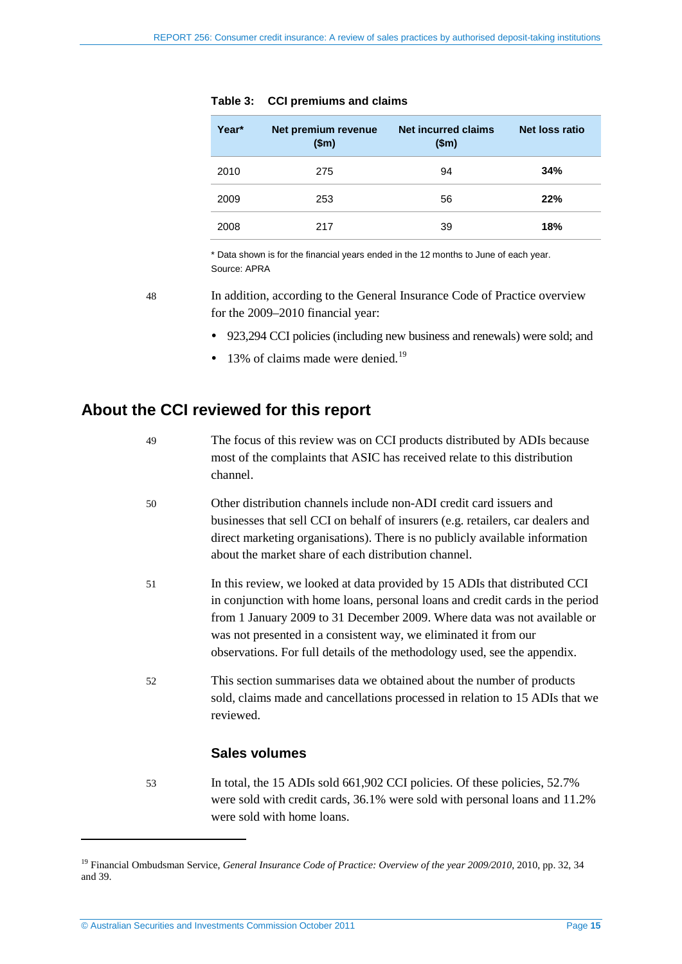<span id="page-14-1"></span>

| Year* | Net premium revenue<br>\$m\$ | <b>Net incurred claims</b><br>\$m\$ | Net loss ratio |
|-------|------------------------------|-------------------------------------|----------------|
| 2010  | 275                          | 94                                  | 34%            |
| 2009  | 253                          | 56                                  | 22%            |
| 2008  | 217                          | 39                                  | 18%            |

#### **Table 3: CCI premiums and claims**

\* Data shown is for the financial years ended in the 12 months to June of each year. Source: APRA

48 In addition, according to the General Insurance Code of Practice overview for the 2009–2010 financial year:

- 923,294 CCI policies (including new business and renewals) were sold; and
- $\bullet$  13% of claims made were denied.<sup>[19](#page-13-2)</sup>

# <span id="page-14-0"></span>**About the CCI reviewed for this report**

| 49 | The focus of this review was on CCI products distributed by ADIs because<br>most of the complaints that ASIC has received relate to this distribution<br>channel.                                                                                                                                                                                                                        |
|----|------------------------------------------------------------------------------------------------------------------------------------------------------------------------------------------------------------------------------------------------------------------------------------------------------------------------------------------------------------------------------------------|
| 50 | Other distribution channels include non-ADI credit card issuers and<br>businesses that sell CCI on behalf of insurers (e.g. retailers, car dealers and<br>direct marketing organisations). There is no publicly available information<br>about the market share of each distribution channel.                                                                                            |
| 51 | In this review, we looked at data provided by 15 ADIs that distributed CCI<br>in conjunction with home loans, personal loans and credit cards in the period<br>from 1 January 2009 to 31 December 2009. Where data was not available or<br>was not presented in a consistent way, we eliminated it from our<br>observations. For full details of the methodology used, see the appendix. |
| 52 | This section summarises data we obtained about the number of products<br>sold, claims made and cancellations processed in relation to 15 ADIs that we<br>reviewed.                                                                                                                                                                                                                       |
|    | <b>Sales volumes</b>                                                                                                                                                                                                                                                                                                                                                                     |
| 53 | In total, the 15 ADIs sold 661,902 CCI policies. Of these policies, 52.7%                                                                                                                                                                                                                                                                                                                |

were sold with credit cards, 36.1% were sold with personal loans and 11.2% were sold with home loans.

<span id="page-14-2"></span><sup>&</sup>lt;sup>19</sup> Financial Ombudsman Service, *General Insurance Code of Practice: Overview of the year 2009/2010*, 2010, pp. 32, 34 and 39.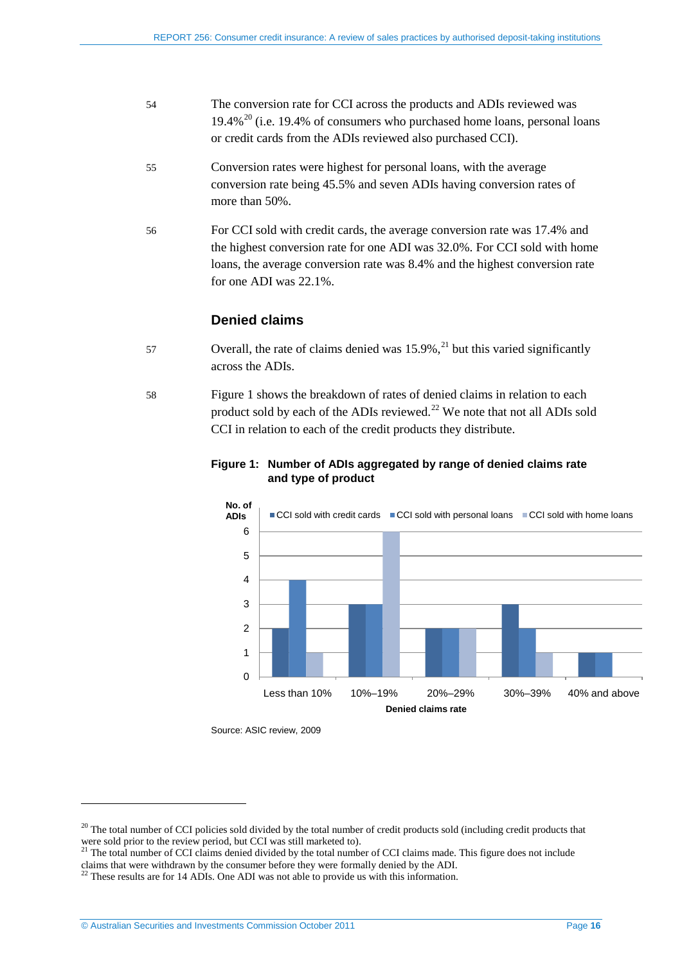- 54 The conversion rate for CCI across the products and ADIs reviewed was  $19.4\%$ <sup>[20](#page-14-2)</sup> (i.e. 19.4% of consumers who purchased home loans, personal loans or credit cards from the ADIs reviewed also purchased CCI).
- 55 Conversion rates were highest for personal loans, with the average conversion rate being 45.5% and seven ADIs having conversion rates of more than 50%.
- 56 For CCI sold with credit cards, the average conversion rate was 17.4% and the highest conversion rate for one ADI was 32.0%. For CCI sold with home loans, the average conversion rate was 8.4% and the highest conversion rate for one ADI was 22.1%.

## **Denied claims**

- 57 Overall, the rate of claims denied was  $15.9\%$ ,<sup>[21](#page-15-1)</sup> but this varied significantly across the ADIs.
- <span id="page-15-0"></span>58 [Figure 1](#page-15-0) shows the breakdown of rates of denied claims in relation to each product sold by each of the ADIs reviewed.<sup>[22](#page-15-2)</sup> We note that not all ADIs sold CCI in relation to each of the credit products they distribute.



## **Figure 1: Number of ADIs aggregated by range of denied claims rate and type of product**

Source: ASIC review, 2009

<span id="page-15-3"></span> $^{20}$  The total number of CCI policies sold divided by the total number of credit products sold (including credit products that were sold prior to the review period, but CCI was still marketed to).

<sup>&</sup>lt;sup>21</sup> The total number of CCI claims denied divided by the total number of CCI claims made. This figure does not include

<span id="page-15-2"></span><span id="page-15-1"></span>claims that were withdrawn by the consumer before they were formally denied by the ADI.<br><sup>22</sup> These results are for 14 ADIs. One ADI was not able to provide us with this information.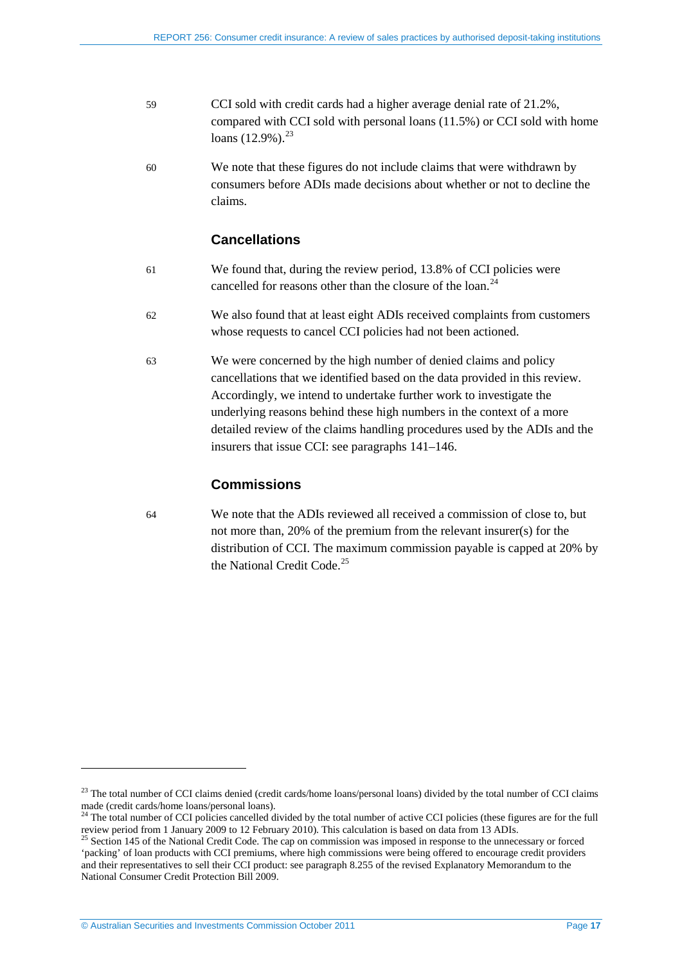- 59 CCI sold with credit cards had a higher average denial rate of 21.2%, compared with CCI sold with personal loans (11.5%) or CCI sold with home loans (12.9%).<sup>[23](#page-15-3)</sup>
- 60 We note that these figures do not include claims that were withdrawn by consumers before ADIs made decisions about whether or not to decline the claims.

## **Cancellations**

- 61 We found that, during the review period, 13.8% of CCI policies were cancelled for reasons other than the closure of the loan.<sup>[24](#page-16-0)</sup>
- 62 We also found that at least eight ADIs received complaints from customers whose requests to cancel CCI policies had not been actioned.
- 63 We were concerned by the high number of denied claims and policy cancellations that we identified based on the data provided in this review. Accordingly, we intend to undertake further work to investigate the underlying reasons behind these high numbers in the context of a more detailed review of the claims handling procedures used by the ADIs and the insurers that issue CCI: see paragraphs [141–](#page-35-1)[146.](#page-35-2)

## **Commissions**

64 We note that the ADIs reviewed all received a commission of close to, but not more than, 20% of the premium from the relevant insurer(s) for the distribution of CCI. The maximum commission payable is capped at 20% by the National Credit Code.<sup>[25](#page-16-1)</sup>

<sup>&</sup>lt;sup>23</sup> The total number of CCI claims denied (credit cards/home loans/personal loans) divided by the total number of CCI claims made (credit cards/home loans/personal loans).

 $24$  The total number of CCI policies cancelled divided by the total number of active CCI policies (these figures are for the full

<span id="page-16-2"></span><span id="page-16-1"></span><span id="page-16-0"></span>review period from 1 January 2009 to 12 February 2010). This calculation is based on data from 13 ADIs. <sup>25</sup> Section 145 of the National Credit Code. The cap on commission was imposed in response to the unnecessary or forced 'packing' of loan products with CCI premiums, where high commissions were being offered to encourage credit providers and their representatives to sell their CCI product: see paragraph 8.255 of the revised Explanatory Memorandum to the National Consumer Credit Protection Bill 2009.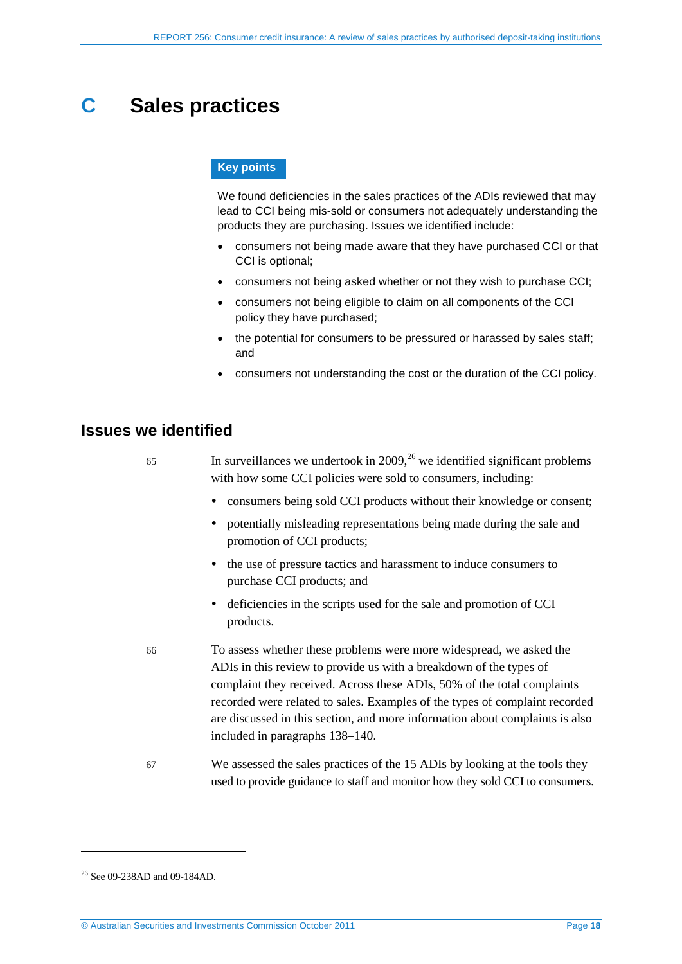# <span id="page-17-0"></span>**C Sales practices**

#### **Key points**

We found deficiencies in the sales practices of the ADIs reviewed that may lead to CCI being mis-sold or consumers not adequately understanding the products they are purchasing. Issues we identified include:

- consumers not being made aware that they have purchased CCI or that CCI is optional;
- consumers not being asked whether or not they wish to purchase CCI;
- consumers not being eligible to claim on all components of the CCI policy they have purchased;
- the potential for consumers to be pressured or harassed by sales staff; and
- consumers not understanding the cost or the duration of the CCI policy.

## <span id="page-17-1"></span>**Issues we identified**

| 65 | In surveillances we undertook in 2009, <sup>26</sup> we identified significant problems<br>with how some CCI policies were sold to consumers, including:                                                                                                                                                                                                                                                               |
|----|------------------------------------------------------------------------------------------------------------------------------------------------------------------------------------------------------------------------------------------------------------------------------------------------------------------------------------------------------------------------------------------------------------------------|
|    | consumers being sold CCI products without their knowledge or consent;                                                                                                                                                                                                                                                                                                                                                  |
|    | potentially misleading representations being made during the sale and<br>promotion of CCI products;                                                                                                                                                                                                                                                                                                                    |
|    | the use of pressure tactics and harassment to induce consumers to<br>purchase CCI products; and                                                                                                                                                                                                                                                                                                                        |
|    | • deficiencies in the scripts used for the sale and promotion of CCI<br>products.                                                                                                                                                                                                                                                                                                                                      |
| 66 | To assess whether these problems were more widespread, we asked the<br>ADIs in this review to provide us with a breakdown of the types of<br>complaint they received. Across these ADIs, 50% of the total complaints<br>recorded were related to sales. Examples of the types of complaint recorded<br>are discussed in this section, and more information about complaints is also<br>included in paragraphs 138–140. |
| 67 | We assessed the sales practices of the 15 ADIs by looking at the tools they                                                                                                                                                                                                                                                                                                                                            |

used to provide guidance to staff and monitor how they sold CCI to consumers.

<span id="page-17-2"></span><sup>26</sup> See 09-238AD and 09-184AD.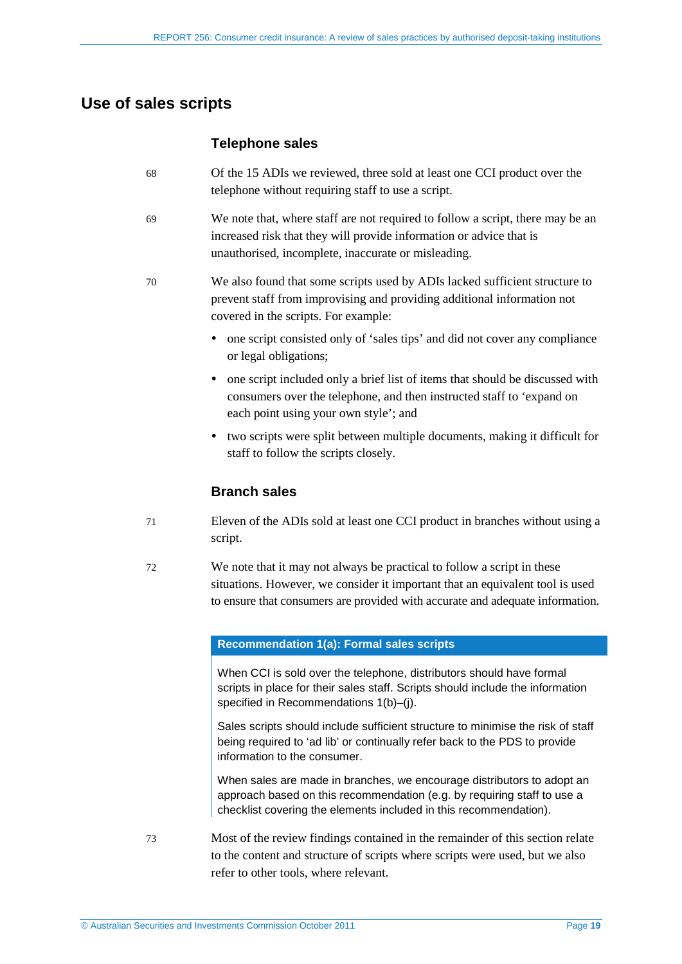# <span id="page-18-0"></span>**Use of sales scripts**

## **Telephone sales**

- 68 Of the 15 ADIs we reviewed, three sold at least one CCI product over the telephone without requiring staff to use a script.
- 69 We note that, where staff are not required to follow a script, there may be an increased risk that they will provide information or advice that is unauthorised, incomplete, inaccurate or misleading.
- 70 We also found that some scripts used by ADIs lacked sufficient structure to prevent staff from improvising and providing additional information not covered in the scripts. For example:
	- one script consisted only of 'sales tips' and did not cover any compliance or legal obligations;
	- one script included only a brief list of items that should be discussed with consumers over the telephone, and then instructed staff to 'expand on each point using your own style'; and
	- two scripts were split between multiple documents, making it difficult for staff to follow the scripts closely.

## **Branch sales**

- 71 Eleven of the ADIs sold at least one CCI product in branches without using a script.
- 72 We note that it may not always be practical to follow a script in these situations. However, we consider it important that an equivalent tool is used to ensure that consumers are provided with accurate and adequate information.

### **Recommendation 1(a): Formal sales scripts**

When CCI is sold over the telephone, distributors should have formal scripts in place for their sales staff. Scripts should include the information specified in Recommendations 1(b)–(j).

Sales scripts should include sufficient structure to minimise the risk of staff being required to 'ad lib' or continually refer back to the PDS to provide information to the consumer.

When sales are made in branches, we encourage distributors to adopt an approach based on this recommendation (e.g. by requiring staff to use a checklist covering the elements included in this recommendation).

73 Most of the review findings contained in the remainder of this section relate to the content and structure of scripts where scripts were used, but we also refer to other tools, where relevant.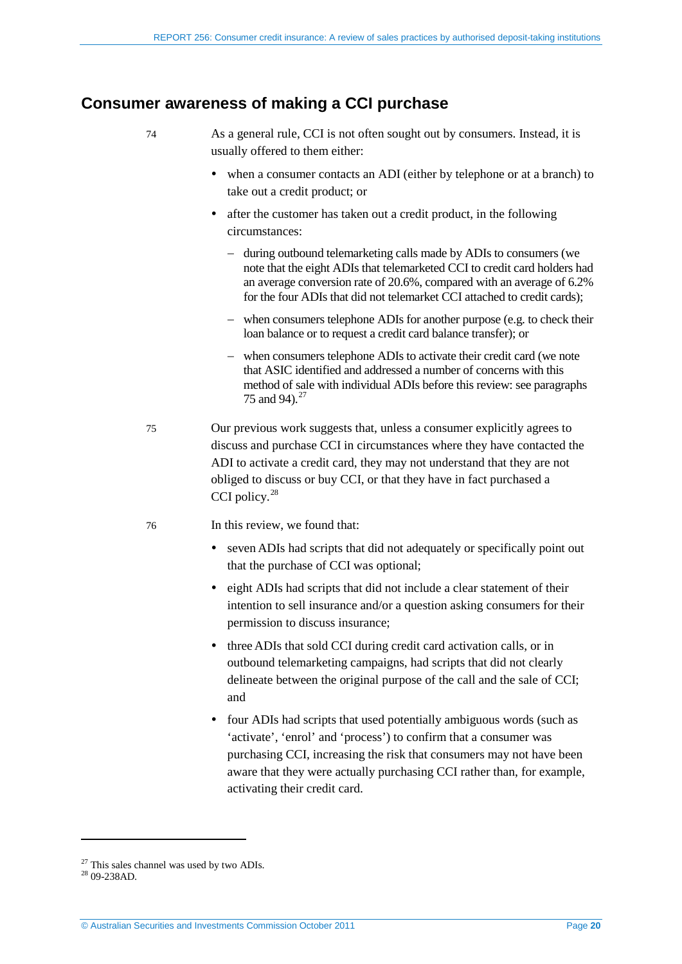## <span id="page-19-0"></span>**Consumer awareness of making a CCI purchase**

- 74 As a general rule, CCI is not often sought out by consumers. Instead, it is usually offered to them either:
	- when a consumer contacts an ADI (either by telephone or at a branch) to take out a credit product; or
	- after the customer has taken out a credit product, in the following circumstances:
		- − during outbound telemarketing calls made by ADIs to consumers (we note that the eight ADIs that telemarketed CCI to credit card holders had an average conversion rate of 20.6%, compared with an average of 6.2% for the four ADIs that did not telemarket CCI attached to credit cards);
		- − when consumers telephone ADIs for another purpose (e.g. to check their loan balance or to request a credit card balance transfer); or
		- − when consumers telephone ADIs to activate their credit card (we note that ASIC identified and addressed a number of concerns with this method of sale with individual ADIs before this review: see paragraphs [75](#page-19-1) and [94\)](#page-23-1).<sup>[27](#page-17-2)</sup>
- <span id="page-19-1"></span>75 Our previous work suggests that, unless a consumer explicitly agrees to discuss and purchase CCI in circumstances where they have contacted the ADI to activate a credit card, they may not understand that they are not obliged to discuss or buy CCI, or that they have in fact purchased a CCI policy.<sup>[28](#page-19-2)</sup>

#### 76 In this review, we found that:

- seven ADIs had scripts that did not adequately or specifically point out that the purchase of CCI was optional;
- eight ADIs had scripts that did not include a clear statement of their intention to sell insurance and/or a question asking consumers for their permission to discuss insurance;
- three ADIs that sold CCI during credit card activation calls, or in outbound telemarketing campaigns, had scripts that did not clearly delineate between the original purpose of the call and the sale of CCI; and
- four ADIs had scripts that used potentially ambiguous words (such as 'activate', 'enrol' and 'process') to confirm that a consumer was purchasing CCI, increasing the risk that consumers may not have been aware that they were actually purchasing CCI rather than, for example, activating their credit card.

<span id="page-19-2"></span><sup>27</sup> This sales channel was used by two ADIs. 28 09-238AD*.*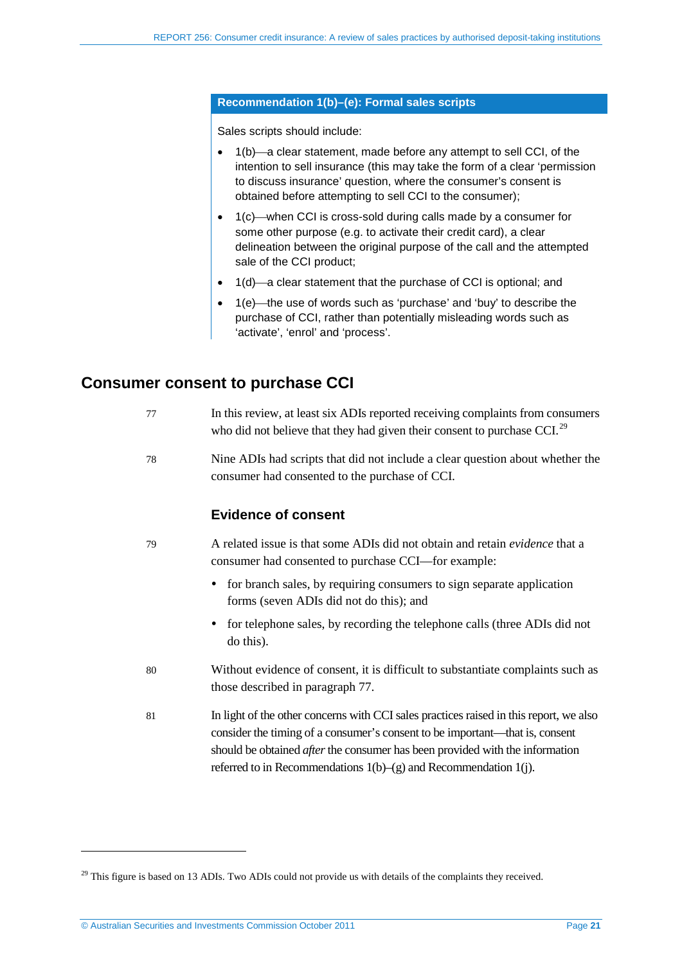#### **Recommendation 1(b)–(e): Formal sales scripts**

Sales scripts should include:

- $1(b)$ —a clear statement, made before any attempt to sell CCI, of the intention to sell insurance (this may take the form of a clear 'permission to discuss insurance' question, where the consumer's consent is obtained before attempting to sell CCI to the consumer);
- $\bullet$  1(c) when CCI is cross-sold during calls made by a consumer for some other purpose (e.g. to activate their credit card), a clear delineation between the original purpose of the call and the attempted sale of the CCI product;
- $1(d)$ —a clear statement that the purchase of CCI is optional; and
- 1(e)—the use of words such as 'purchase' and 'buy' to describe the purchase of CCI, rather than potentially misleading words such as 'activate', 'enrol' and 'process'.

## <span id="page-20-1"></span><span id="page-20-0"></span>**Consumer consent to purchase CCI**

| -77 | In this review, at least six ADIs reported receiving complaints from consumers |
|-----|--------------------------------------------------------------------------------|
|     | who did not believe that they had given their consent to purchase CCI. $^{29}$ |

78 Nine ADIs had scripts that did not include a clear question about whether the consumer had consented to the purchase of CCI.

## **Evidence of consent**

- 79 A related issue is that some ADIs did not obtain and retain *evidence* that a consumer had consented to purchase CCI—for example:
	- for branch sales, by requiring consumers to sign separate application forms (seven ADIs did not do this); and
	- for telephone sales, by recording the telephone calls (three ADIs did not do this).
- 80 Without evidence of consent, it is difficult to substantiate complaints such as those described in paragraph [77.](#page-20-1)
- 81 In light of the other concerns with CCI sales practices raised in this report, we also consider the timing of a consumer's consent to be important—that is, consent should be obtained *after* the consumer has been provided with the information referred to in Recommendations  $1(b)$ –(g) and Recommendation 1(j).

<span id="page-20-2"></span><sup>&</sup>lt;sup>29</sup> This figure is based on 13 ADIs. Two ADIs could not provide us with details of the complaints they received.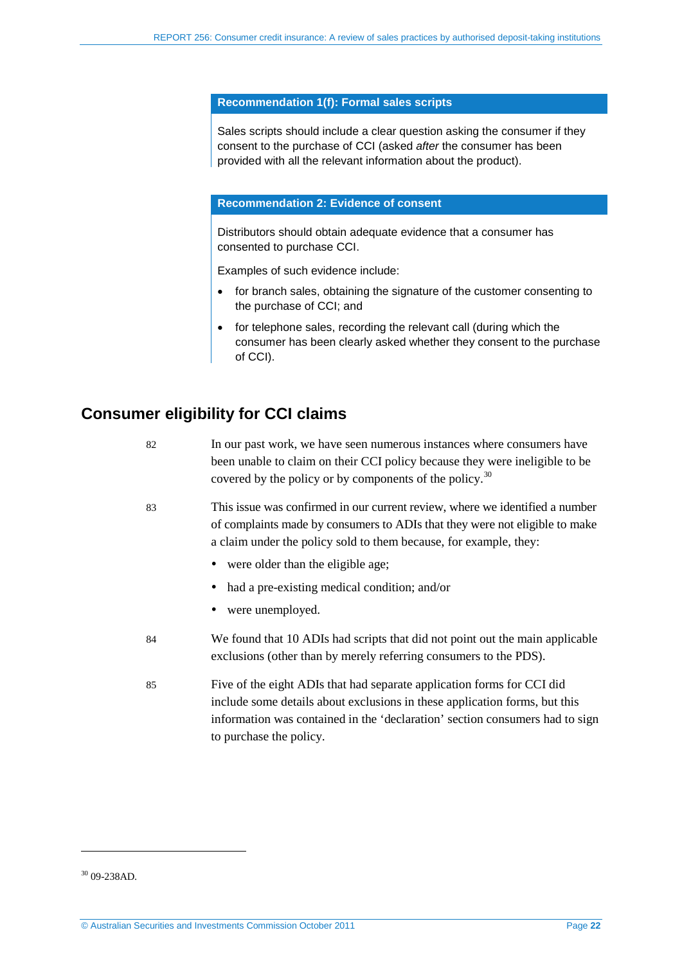#### **Recommendation 1(f): Formal sales scripts**

Sales scripts should include a clear question asking the consumer if they consent to the purchase of CCI (asked *after* the consumer has been provided with all the relevant information about the product).

#### **Recommendation 2: Evidence of consent**

Distributors should obtain adequate evidence that a consumer has consented to purchase CCI.

Examples of such evidence include:

- for branch sales, obtaining the signature of the customer consenting to the purchase of CCI; and
- for telephone sales, recording the relevant call (during which the consumer has been clearly asked whether they consent to the purchase of CCI).

# <span id="page-21-0"></span>**Consumer eligibility for CCI claims**

| 82 | In our past work, we have seen numerous instances where consumers have<br>been unable to claim on their CCI policy because they were ineligible to be<br>covered by the policy or by components of the policy. <sup>30</sup>                                    |
|----|-----------------------------------------------------------------------------------------------------------------------------------------------------------------------------------------------------------------------------------------------------------------|
| 83 | This issue was confirmed in our current review, where we identified a number<br>of complaints made by consumers to ADIs that they were not eligible to make<br>a claim under the policy sold to them because, for example, they:                                |
|    | • were older than the eligible age;                                                                                                                                                                                                                             |
|    | had a pre-existing medical condition; and/or                                                                                                                                                                                                                    |
|    | were unemployed.                                                                                                                                                                                                                                                |
| 84 | We found that 10 ADIs had scripts that did not point out the main applicable<br>exclusions (other than by merely referring consumers to the PDS).                                                                                                               |
| 85 | Five of the eight ADIs that had separate application forms for CCI did<br>include some details about exclusions in these application forms, but this<br>information was contained in the 'declaration' section consumers had to sign<br>to purchase the policy. |

<span id="page-21-1"></span><sup>30</sup> 09-238AD*.*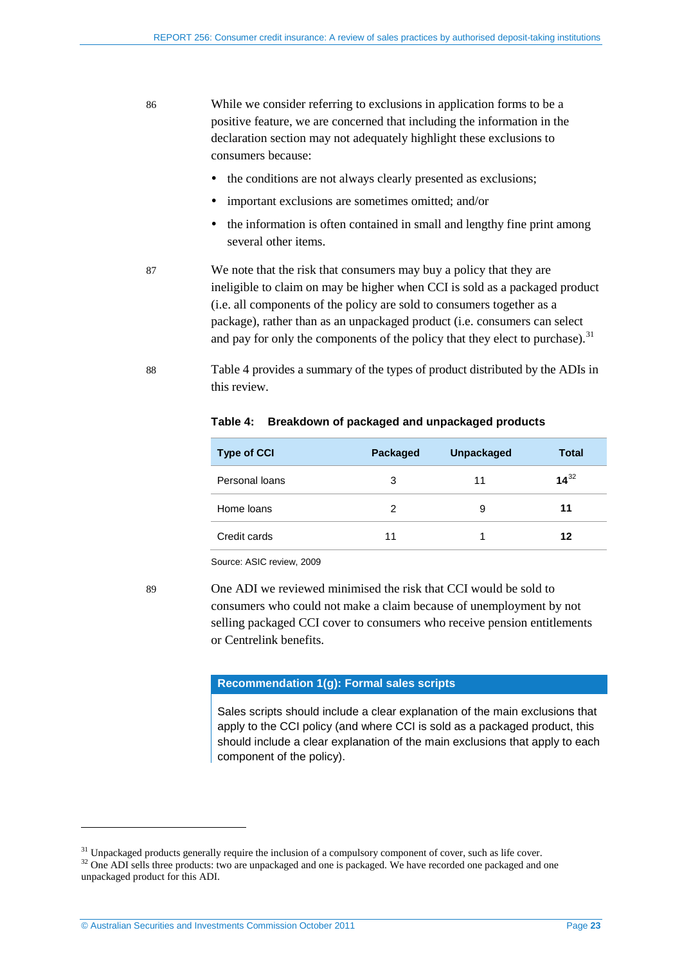86 While we consider referring to exclusions in application forms to be a positive feature, we are concerned that including the information in the declaration section may not adequately highlight these exclusions to consumers because:

- the conditions are not always clearly presented as exclusions;
- important exclusions are sometimes omitted; and/or
- the information is often contained in small and lengthy fine print among several other items.
- 87 We note that the risk that consumers may buy a policy that they are ineligible to claim on may be higher when CCI is sold as a packaged product (i.e. all components of the policy are sold to consumers together as a package), rather than as an unpackaged product (i.e. consumers can select and pay for only the components of the policy that they elect to purchase).<sup>[31](#page-21-1)</sup>
- <span id="page-22-0"></span>88 [Table 4](#page-22-0) provides a summary of the types of product distributed by the ADIs in this review.

| <b>Type of CCI</b> | Packaged | <b>Unpackaged</b> | <b>Total</b> |
|--------------------|----------|-------------------|--------------|
| Personal loans     | 3        | 11                | $14^{32}$    |
| Home loans         | 2        | 9                 | 11           |
| Credit cards       | 11       |                   | 12           |

#### **Table 4: Breakdown of packaged and unpackaged products**

Source: ASIC review, 2009

89 One ADI we reviewed minimised the risk that CCI would be sold to consumers who could not make a claim because of unemployment by not selling packaged CCI cover to consumers who receive pension entitlements or Centrelink benefits.

#### **Recommendation 1(g): Formal sales scripts**

Sales scripts should include a clear explanation of the main exclusions that apply to the CCI policy (and where CCI is sold as a packaged product, this should include a clear explanation of the main exclusions that apply to each component of the policy).

<span id="page-22-2"></span> $31$  Unpackaged products generally require the inclusion of a compulsory component of cover, such as life cover.  $32$  One ADI sells three products: two are unpackaged and one is packaged. We have recorded one packaged and

<span id="page-22-1"></span>unpackaged product for this ADI.

<sup>©</sup> Australian Securities and Investments Commission October 2011 Page **23**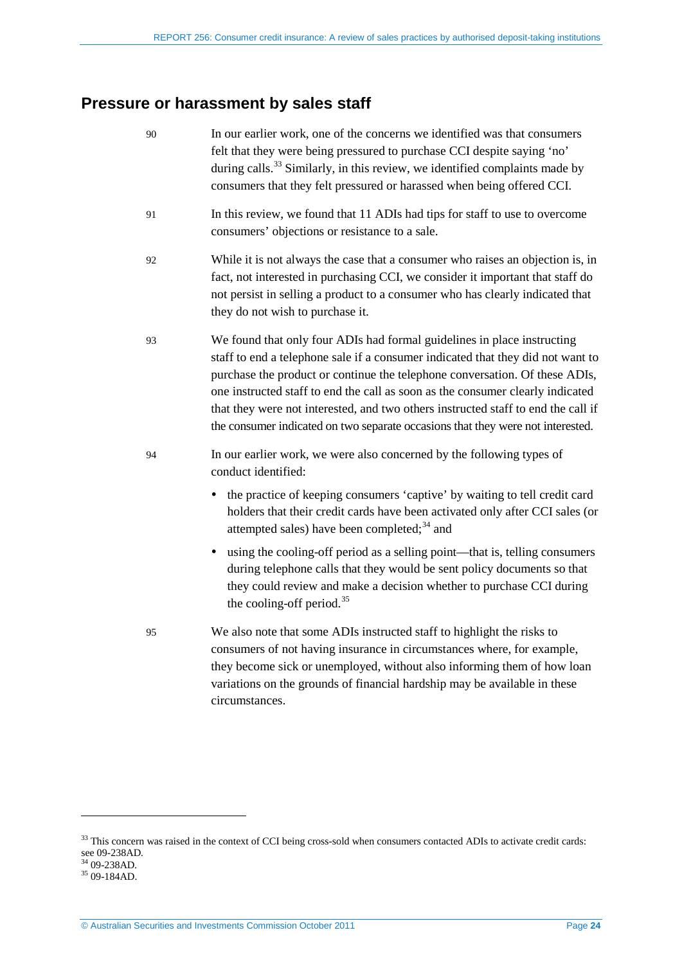# <span id="page-23-0"></span>**Pressure or harassment by sales staff**

<span id="page-23-1"></span>

| 90 | In our earlier work, one of the concerns we identified was that consumers<br>felt that they were being pressured to purchase CCI despite saying 'no'<br>during calls. <sup>33</sup> Similarly, in this review, we identified complaints made by<br>consumers that they felt pressured or harassed when being offered CCI.                                                                                                                                                                           |
|----|-----------------------------------------------------------------------------------------------------------------------------------------------------------------------------------------------------------------------------------------------------------------------------------------------------------------------------------------------------------------------------------------------------------------------------------------------------------------------------------------------------|
| 91 | In this review, we found that 11 ADIs had tips for staff to use to overcome<br>consumers' objections or resistance to a sale.                                                                                                                                                                                                                                                                                                                                                                       |
| 92 | While it is not always the case that a consumer who raises an objection is, in<br>fact, not interested in purchasing CCI, we consider it important that staff do<br>not persist in selling a product to a consumer who has clearly indicated that<br>they do not wish to purchase it.                                                                                                                                                                                                               |
| 93 | We found that only four ADIs had formal guidelines in place instructing<br>staff to end a telephone sale if a consumer indicated that they did not want to<br>purchase the product or continue the telephone conversation. Of these ADIs,<br>one instructed staff to end the call as soon as the consumer clearly indicated<br>that they were not interested, and two others instructed staff to end the call if<br>the consumer indicated on two separate occasions that they were not interested. |
| 94 | In our earlier work, we were also concerned by the following types of<br>conduct identified:<br>the practice of keeping consumers 'captive' by waiting to tell credit card<br>٠<br>holders that their credit cards have been activated only after CCI sales (or<br>attempted sales) have been completed; <sup>34</sup> and<br>using the cooling-off period as a selling point—that is, telling consumers<br>٠<br>during telephone calls that they would be sent policy documents so that            |
|    | they could review and make a decision whether to purchase CCI during<br>the cooling-off period. <sup>35</sup>                                                                                                                                                                                                                                                                                                                                                                                       |
| 95 | We also note that some ADIs instructed staff to highlight the risks to<br>consumers of not having insurance in circumstances where, for example,<br>they become sick or unemployed, without also informing them of how loan<br>variations on the grounds of financial hardship may be available in these<br>circumstances.                                                                                                                                                                          |
|    |                                                                                                                                                                                                                                                                                                                                                                                                                                                                                                     |

<span id="page-23-4"></span><sup>&</sup>lt;sup>33</sup> This concern was raised in the context of CCI being cross-sold when consumers contacted ADIs to activate credit cards: see 09-238AD.<br><sup>34</sup> 09-238AD.<br><sup>35</sup> 09-184AD.

<span id="page-23-3"></span><span id="page-23-2"></span>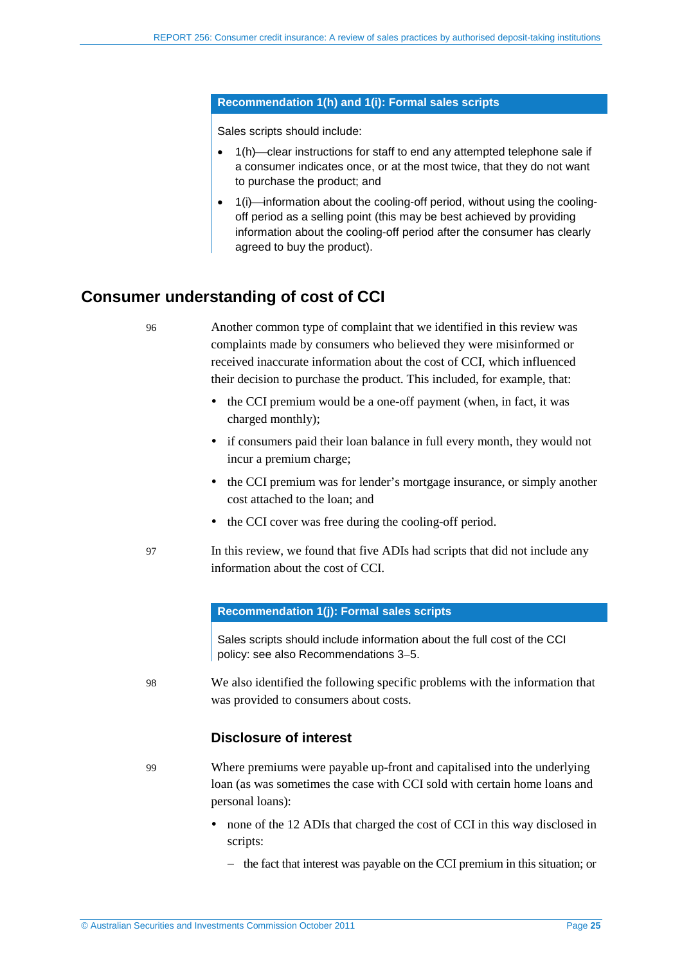#### **Recommendation 1(h) and 1(i): Formal sales scripts**

Sales scripts should include:

- 1(h) clear instructions for staff to end any attempted telephone sale if a consumer indicates once, or at the most twice, that they do not want to purchase the product; and
- 1(i)—information about the cooling-off period, without using the coolingoff period as a selling point (this may be best achieved by providing information about the cooling-off period after the consumer has clearly agreed to buy the product).

## <span id="page-24-0"></span>**Consumer understanding of cost of CCI**

96 Another common type of complaint that we identified in this review was complaints made by consumers who believed they were misinformed or received inaccurate information about the cost of CCI, which influenced their decision to purchase the product. This included, for example, that:

- the CCI premium would be a one-off payment (when, in fact, it was charged monthly);
- if consumers paid their loan balance in full every month, they would not incur a premium charge;
- the CCI premium was for lender's mortgage insurance, or simply another cost attached to the loan; and
- the CCI cover was free during the cooling-off period.
- 97 In this review, we found that five ADIs had scripts that did not include any information about the cost of CCI.

#### **Recommendation 1(j): Formal sales scripts**

Sales scripts should include information about the full cost of the CCI policy: see also Recommendations 3−5.

98 We also identified the following specific problems with the information that was provided to consumers about costs.

### **Disclosure of interest**

99 Where premiums were payable up-front and capitalised into the underlying loan (as was sometimes the case with CCI sold with certain home loans and personal loans):

- none of the 12 ADIs that charged the cost of CCI in this way disclosed in scripts:
	- − the fact that interest was payable on the CCI premium in this situation; or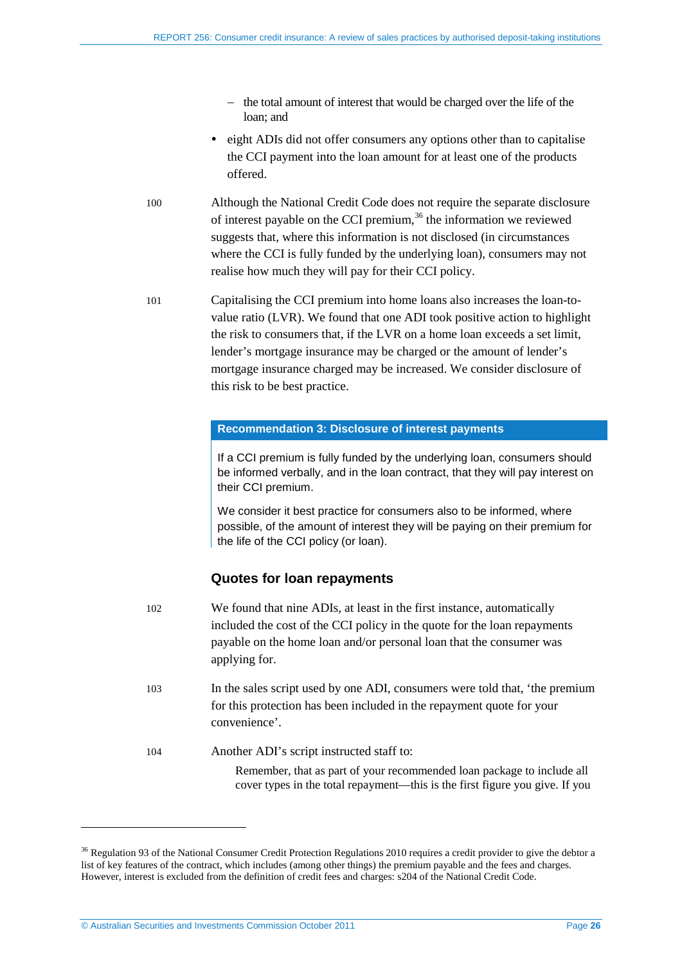- − the total amount of interest that would be charged over the life of the loan; and
- eight ADIs did not offer consumers any options other than to capitalise the CCI payment into the loan amount for at least one of the products offered.
- 100 Although the National Credit Code does not require the separate disclosure of interest payable on the CCI premium,  $36$  the information we reviewed suggests that, where this information is not disclosed (in circumstances where the CCI is fully funded by the underlying loan), consumers may not realise how much they will pay for their CCI policy.
- 101 Capitalising the CCI premium into home loans also increases the loan-tovalue ratio (LVR). We found that one ADI took positive action to highlight the risk to consumers that, if the LVR on a home loan exceeds a set limit, lender's mortgage insurance may be charged or the amount of lender's mortgage insurance charged may be increased. We consider disclosure of this risk to be best practice.

#### **Recommendation 3: Disclosure of interest payments**

If a CCI premium is fully funded by the underlying loan, consumers should be informed verbally, and in the loan contract, that they will pay interest on their CCI premium.

We consider it best practice for consumers also to be informed, where possible, of the amount of interest they will be paying on their premium for the life of the CCI policy (or loan).

## **Quotes for loan repayments**

- 102 We found that nine ADIs, at least in the first instance, automatically included the cost of the CCI policy in the quote for the loan repayments payable on the home loan and/or personal loan that the consumer was applying for.
- 103 In the sales script used by one ADI, consumers were told that, 'the premium for this protection has been included in the repayment quote for your convenience'.
- 104 Another ADI's script instructed staff to:

Remember, that as part of your recommended loan package to include all cover types in the total repayment—this is the first figure you give. If you

© Australian Securities and Investments Commission October 2011 Page **26**

<span id="page-25-0"></span><sup>&</sup>lt;sup>36</sup> Regulation 93 of the National Consumer Credit Protection Regulations 2010 requires a credit provider to give the debtor a list of key features of the contract, which includes (among other things) the premium payable and the fees and charges. However, interest is excluded from the definition of credit fees and charges: s204 of the National Credit Code.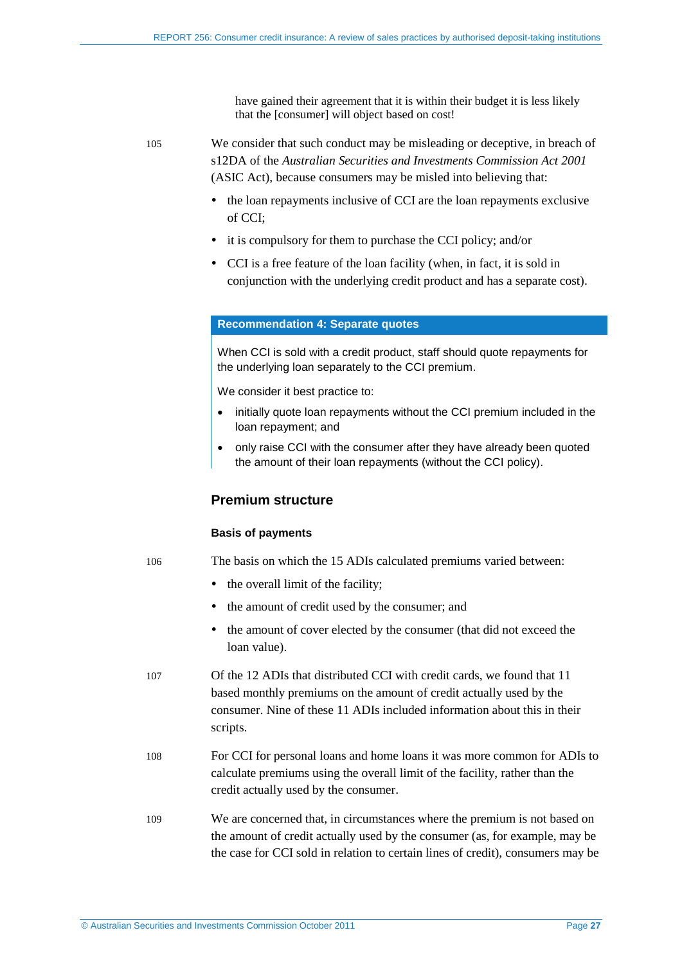have gained their agreement that it is within their budget it is less likely that the [consumer] will object based on cost!

105 We consider that such conduct may be misleading or deceptive, in breach of s12DA of the *Australian Securities and Investments Commission Act 2001*  (ASIC Act), because consumers may be misled into believing that:

- the loan repayments inclusive of CCI are the loan repayments exclusive of CCI;
- it is compulsory for them to purchase the CCI policy; and/or
- CCI is a free feature of the loan facility (when, in fact, it is sold in conjunction with the underlying credit product and has a separate cost).

#### **Recommendation 4: Separate quotes**

When CCI is sold with a credit product, staff should quote repayments for the underlying loan separately to the CCI premium.

We consider it best practice to:

- initially quote loan repayments without the CCI premium included in the loan repayment; and
- only raise CCI with the consumer after they have already been quoted the amount of their loan repayments (without the CCI policy).

### **Premium structure**

#### **Basis of payments**

106 The basis on which the 15 ADIs calculated premiums varied between:

- the overall limit of the facility;
- the amount of credit used by the consumer; and
- the amount of cover elected by the consumer (that did not exceed the loan value).
- 107 Of the 12 ADIs that distributed CCI with credit cards, we found that 11 based monthly premiums on the amount of credit actually used by the consumer. Nine of these 11 ADIs included information about this in their scripts.
- 108 For CCI for personal loans and home loans it was more common for ADIs to calculate premiums using the overall limit of the facility, rather than the credit actually used by the consumer.
- 109 We are concerned that, in circumstances where the premium is not based on the amount of credit actually used by the consumer (as, for example, may be the case for CCI sold in relation to certain lines of credit), consumers may be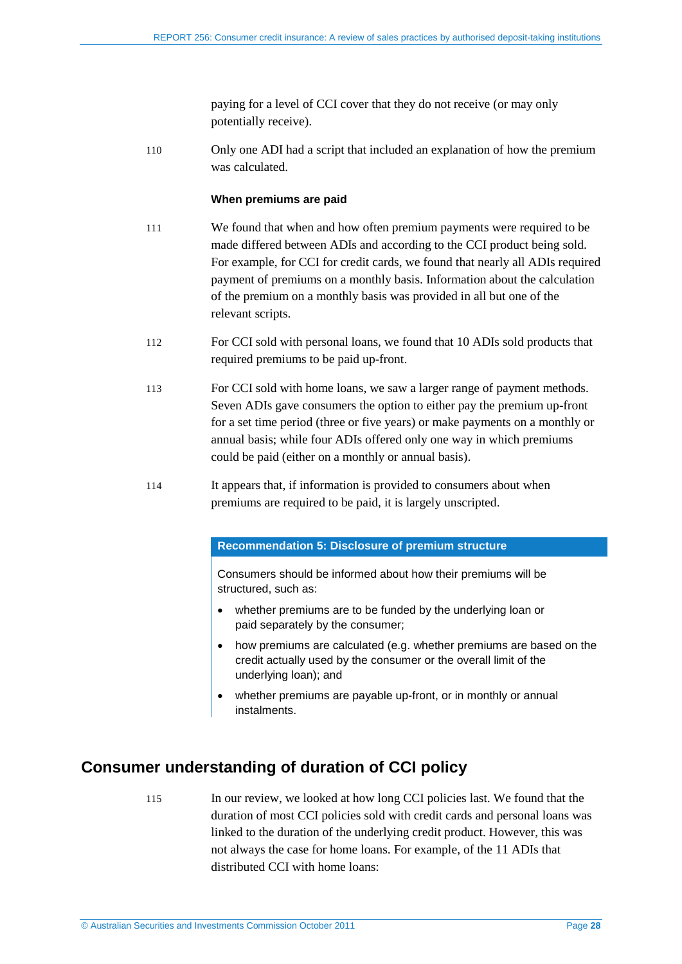paying for a level of CCI cover that they do not receive (or may only potentially receive).

110 Only one ADI had a script that included an explanation of how the premium was calculated.

### **When premiums are paid**

- 111 We found that when and how often premium payments were required to be made differed between ADIs and according to the CCI product being sold. For example, for CCI for credit cards, we found that nearly all ADIs required payment of premiums on a monthly basis. Information about the calculation of the premium on a monthly basis was provided in all but one of the relevant scripts.
- 112 For CCI sold with personal loans, we found that 10 ADIs sold products that required premiums to be paid up-front.
- 113 For CCI sold with home loans, we saw a larger range of payment methods. Seven ADIs gave consumers the option to either pay the premium up-front for a set time period (three or five years) or make payments on a monthly or annual basis; while four ADIs offered only one way in which premiums could be paid (either on a monthly or annual basis).
- 114 It appears that, if information is provided to consumers about when premiums are required to be paid, it is largely unscripted.

#### **Recommendation 5: Disclosure of premium structure**

Consumers should be informed about how their premiums will be structured, such as:

- whether premiums are to be funded by the underlying loan or paid separately by the consumer;
- how premiums are calculated (e.g. whether premiums are based on the credit actually used by the consumer or the overall limit of the underlying loan); and
- whether premiums are payable up-front, or in monthly or annual instalments.

# <span id="page-27-0"></span>**Consumer understanding of duration of CCI policy**

115 In our review, we looked at how long CCI policies last. We found that the duration of most CCI policies sold with credit cards and personal loans was linked to the duration of the underlying credit product. However, this was not always the case for home loans. For example, of the 11 ADIs that distributed CCI with home loans: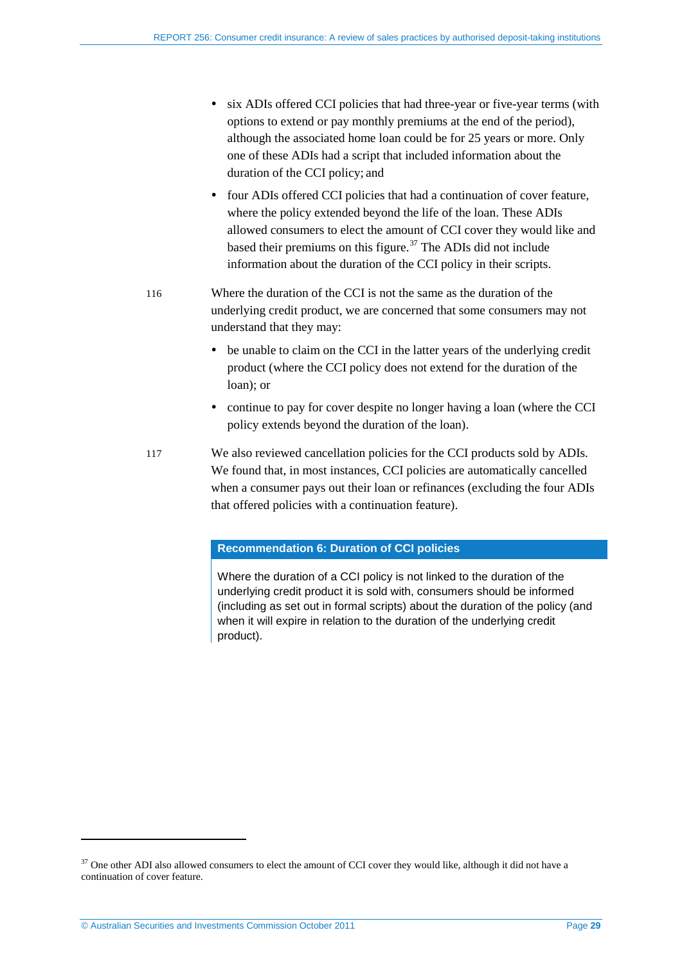- six ADIs offered CCI policies that had three-year or five-year terms (with options to extend or pay monthly premiums at the end of the period), although the associated home loan could be for 25 years or more. Only one of these ADIs had a script that included information about the duration of the CCI policy; and
- four ADIs offered CCI policies that had a continuation of cover feature, where the policy extended beyond the life of the loan. These ADIs allowed consumers to elect the amount of CCI cover they would like and based their premiums on this figure.<sup>[37](#page-25-0)</sup> The ADIs did not include information about the duration of the CCI policy in their scripts.
- 116 Where the duration of the CCI is not the same as the duration of the underlying credit product, we are concerned that some consumers may not understand that they may:
	- be unable to claim on the CCI in the latter years of the underlying credit product (where the CCI policy does not extend for the duration of the loan); or
	- continue to pay for cover despite no longer having a loan (where the CCI policy extends beyond the duration of the loan).
- 117 We also reviewed cancellation policies for the CCI products sold by ADIs. We found that, in most instances, CCI policies are automatically cancelled when a consumer pays out their loan or refinances (excluding the four ADIs that offered policies with a continuation feature).

## **Recommendation 6: Duration of CCI policies**

Where the duration of a CCI policy is not linked to the duration of the underlying credit product it is sold with, consumers should be informed (including as set out in formal scripts) about the duration of the policy (and when it will expire in relation to the duration of the underlying credit product).

<span id="page-28-0"></span><sup>&</sup>lt;sup>37</sup> One other ADI also allowed consumers to elect the amount of CCI cover they would like, although it did not have a continuation of cover feature.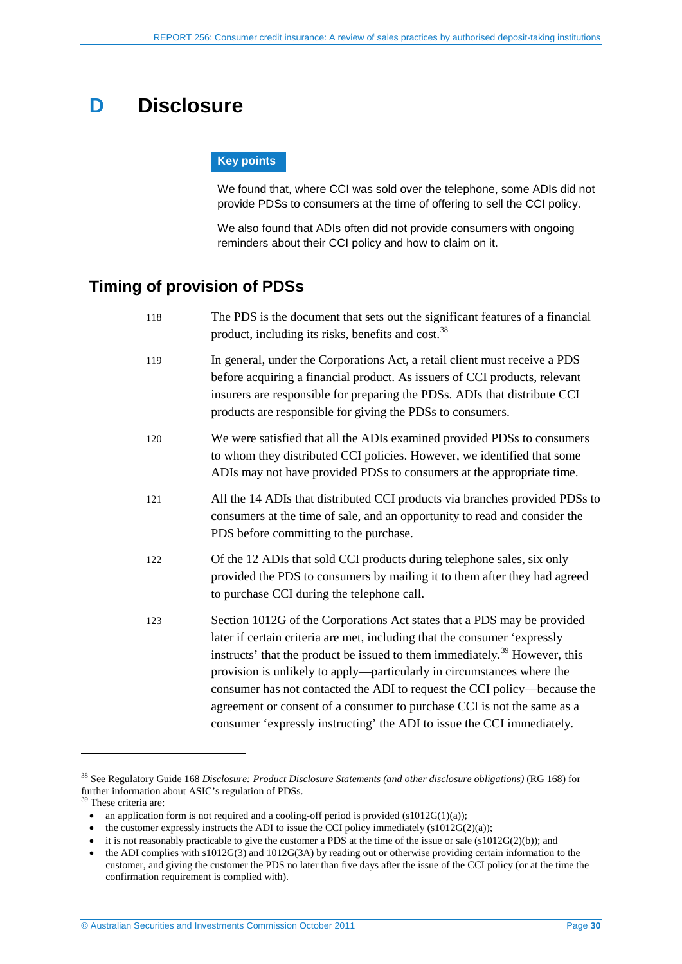# <span id="page-29-0"></span>**D Disclosure**

#### **Key points**

We found that, where CCI was sold over the telephone, some ADIs did not provide PDSs to consumers at the time of offering to sell the CCI policy.

We also found that ADIs often did not provide consumers with ongoing reminders about their CCI policy and how to claim on it.

## <span id="page-29-1"></span>**Timing of provision of PDSs**

| 118 | The PDS is the document that sets out the significant features of a financial<br>product, including its risks, benefits and cost. <sup>38</sup>                                                                                                                                                                                                                                                                                                                                                                                                           |
|-----|-----------------------------------------------------------------------------------------------------------------------------------------------------------------------------------------------------------------------------------------------------------------------------------------------------------------------------------------------------------------------------------------------------------------------------------------------------------------------------------------------------------------------------------------------------------|
| 119 | In general, under the Corporations Act, a retail client must receive a PDS<br>before acquiring a financial product. As issuers of CCI products, relevant<br>insurers are responsible for preparing the PDSs. ADIs that distribute CCI<br>products are responsible for giving the PDSs to consumers.                                                                                                                                                                                                                                                       |
| 120 | We were satisfied that all the ADIs examined provided PDSs to consumers<br>to whom they distributed CCI policies. However, we identified that some<br>ADIs may not have provided PDSs to consumers at the appropriate time.                                                                                                                                                                                                                                                                                                                               |
| 121 | All the 14 ADIs that distributed CCI products via branches provided PDSs to<br>consumers at the time of sale, and an opportunity to read and consider the<br>PDS before committing to the purchase.                                                                                                                                                                                                                                                                                                                                                       |
| 122 | Of the 12 ADIs that sold CCI products during telephone sales, six only<br>provided the PDS to consumers by mailing it to them after they had agreed<br>to purchase CCI during the telephone call.                                                                                                                                                                                                                                                                                                                                                         |
| 123 | Section 1012G of the Corporations Act states that a PDS may be provided<br>later if certain criteria are met, including that the consumer 'expressly<br>instructs' that the product be issued to them immediately. <sup>39</sup> However, this<br>provision is unlikely to apply—particularly in circumstances where the<br>consumer has not contacted the ADI to request the CCI policy-because the<br>agreement or consent of a consumer to purchase CCI is not the same as a<br>consumer 'expressly instructing' the ADI to issue the CCI immediately. |

<span id="page-29-2"></span><sup>38</sup> See Regulatory Guide 168 *Disclosure: Product Disclosure Statements (and other disclosure obligations)* (RG 168) for further information about ASIC's regulation of PDSs.<br><sup>39</sup> These criteria are:

<sup>•</sup> an application form is not required and a cooling-off period is provided  $(s1012G(1)(a))$ ;

<sup>•</sup> the customer expressly instructs the ADI to issue the CCI policy immediately  $(s1012G(2)(a))$ ;

<sup>•</sup> it is not reasonably practicable to give the customer a PDS at the time of the issue or sale (s1012G(2)(b)); and

<span id="page-29-3"></span><sup>•</sup> the ADI complies with s1012G(3) and 1012G(3A) by reading out or otherwise providing certain information to the customer, and giving the customer the PDS no later than five days after the issue of the CCI policy (or at the time the confirmation requirement is complied with).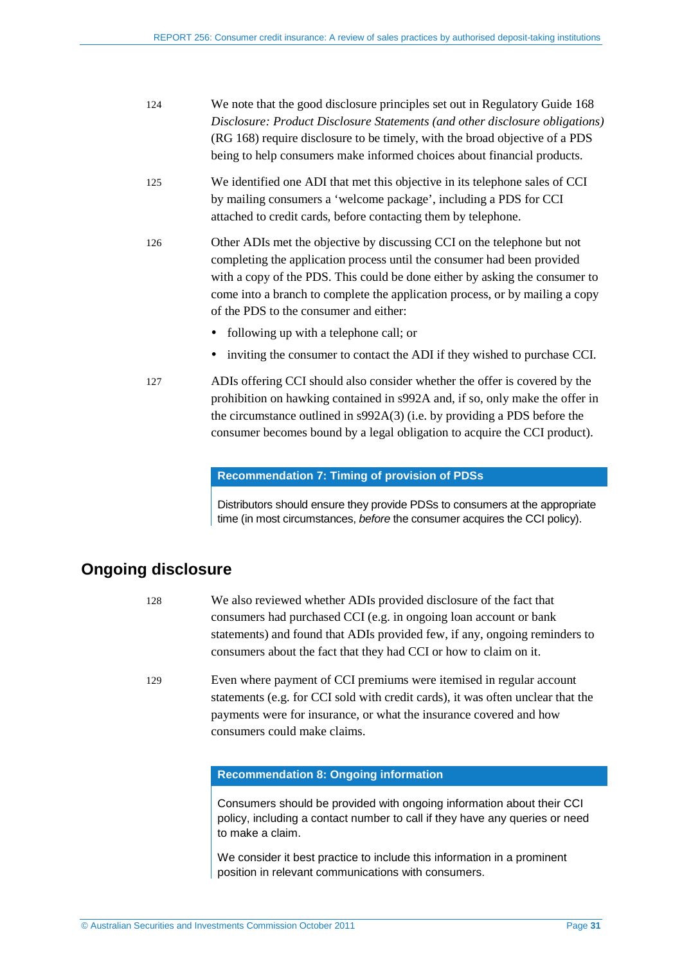| 124 | We note that the good disclosure principles set out in Regulatory Guide 168<br>Disclosure: Product Disclosure Statements (and other disclosure obligations)<br>(RG 168) require disclosure to be timely, with the broad objective of a PDS<br>being to help consumers make informed choices about financial products.                                       |
|-----|-------------------------------------------------------------------------------------------------------------------------------------------------------------------------------------------------------------------------------------------------------------------------------------------------------------------------------------------------------------|
| 125 | We identified one ADI that met this objective in its telephone sales of CCI<br>by mailing consumers a 'welcome package', including a PDS for CCI<br>attached to credit cards, before contacting them by telephone.                                                                                                                                          |
| 126 | Other ADIs met the objective by discussing CCI on the telephone but not<br>completing the application process until the consumer had been provided<br>with a copy of the PDS. This could be done either by asking the consumer to<br>come into a branch to complete the application process, or by mailing a copy<br>of the PDS to the consumer and either: |
|     | following up with a telephone call; or                                                                                                                                                                                                                                                                                                                      |
|     | inviting the consumer to contact the ADI if they wished to purchase CCI.                                                                                                                                                                                                                                                                                    |
| 127 | ADIs offering CCI should also consider whether the offer is covered by the<br>prohibition on hawking contained in s992A and, if so, only make the offer in<br>the circumstance outlined in s992A(3) (i.e. by providing a PDS before the<br>consumer becomes bound by a legal obligation to acquire the CCI product).                                        |

#### **Recommendation 7: Timing of provision of PDSs**

Distributors should ensure they provide PDSs to consumers at the appropriate time (in most circumstances, *before* the consumer acquires the CCI policy).

# <span id="page-30-0"></span>**Ongoing disclosure**

| 128 | We also reviewed whether ADIs provided disclosure of the fact that         |
|-----|----------------------------------------------------------------------------|
|     | consumers had purchased CCI (e.g. in ongoing loan account or bank          |
|     | statements) and found that ADIs provided few, if any, ongoing reminders to |
|     | consumers about the fact that they had CCI or how to claim on it.          |

129 Even where payment of CCI premiums were itemised in regular account statements (e.g. for CCI sold with credit cards), it was often unclear that the payments were for insurance, or what the insurance covered and how consumers could make claims.

#### **Recommendation 8: Ongoing information**

Consumers should be provided with ongoing information about their CCI policy, including a contact number to call if they have any queries or need to make a claim.

We consider it best practice to include this information in a prominent position in relevant communications with consumers.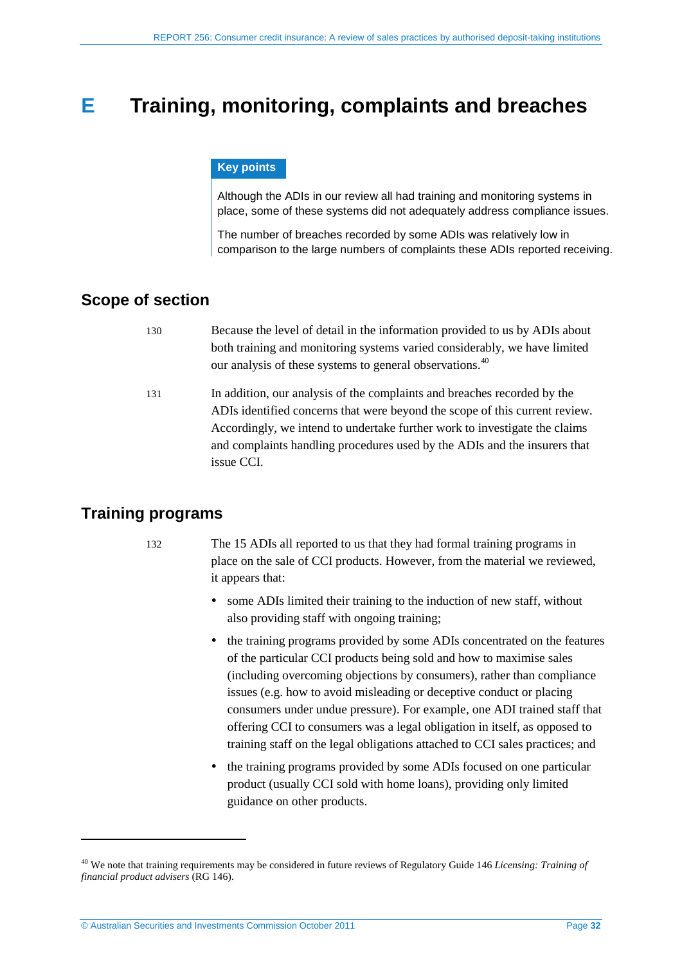# <span id="page-31-0"></span>**E Training, monitoring, complaints and breaches**

#### **Key points**

Although the ADIs in our review all had training and monitoring systems in place, some of these systems did not adequately address compliance issues.

The number of breaches recorded by some ADIs was relatively low in comparison to the large numbers of complaints these ADIs reported receiving.

## <span id="page-31-1"></span>**Scope of section**

- 130 Because the level of detail in the information provided to us by ADIs about both training and monitoring systems varied considerably, we have limited our analysis of these systems to general observations.<sup>[40](#page-29-3)</sup>
- 131 In addition, our analysis of the complaints and breaches recorded by the ADIs identified concerns that were beyond the scope of this current review. Accordingly, we intend to undertake further work to investigate the claims and complaints handling procedures used by the ADIs and the insurers that issue CCI.

## <span id="page-31-2"></span>**Training programs**

<span id="page-31-3"></span>-

132 The 15 ADIs all reported to us that they had formal training programs in place on the sale of CCI products. However, from the material we reviewed, it appears that:

- some ADIs limited their training to the induction of new staff, without also providing staff with ongoing training;
- the training programs provided by some ADIs concentrated on the features of the particular CCI products being sold and how to maximise sales (including overcoming objections by consumers), rather than compliance issues (e.g. how to avoid misleading or deceptive conduct or placing consumers under undue pressure). For example, one ADI trained staff that offering CCI to consumers was a legal obligation in itself, as opposed to training staff on the legal obligations attached to CCI sales practices; and
- the training programs provided by some ADIs focused on one particular product (usually CCI sold with home loans), providing only limited guidance on other products.

<sup>40</sup> We note that training requirements may be considered in future reviews of Regulatory Guide 146 *Licensing: Training of financial product advisers* (RG 146).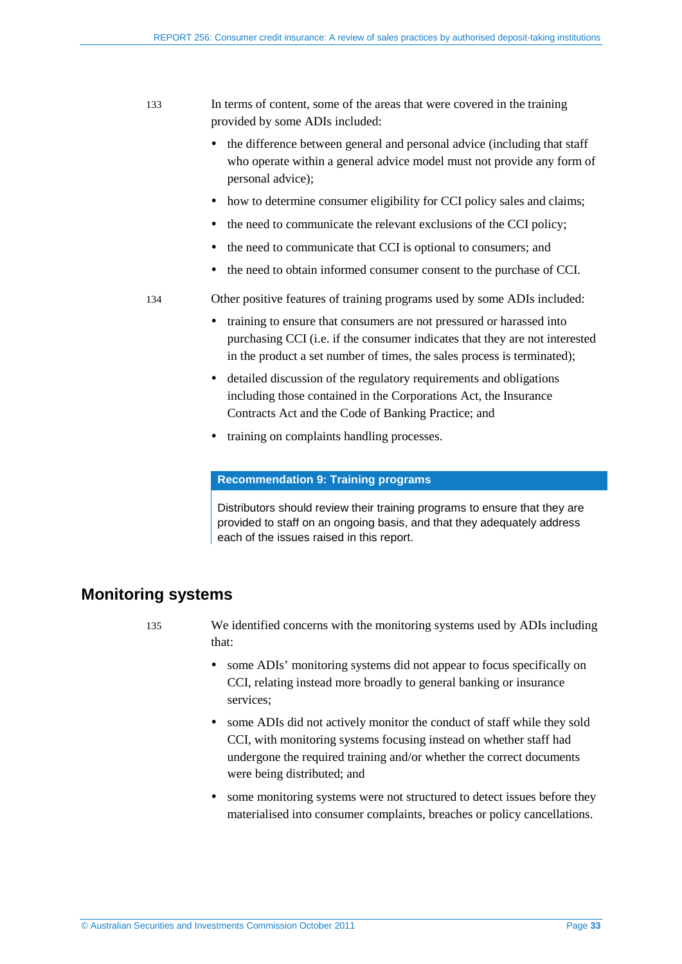- 133 In terms of content, some of the areas that were covered in the training provided by some ADIs included:
	- the difference between general and personal advice (including that staff who operate within a general advice model must not provide any form of personal advice);
	- how to determine consumer eligibility for CCI policy sales and claims;
	- the need to communicate the relevant exclusions of the CCI policy;
	- the need to communicate that CCI is optional to consumers; and
	- the need to obtain informed consumer consent to the purchase of CCI.
- 134 Other positive features of training programs used by some ADIs included:
	- training to ensure that consumers are not pressured or harassed into purchasing CCI (i.e. if the consumer indicates that they are not interested in the product a set number of times, the sales process is terminated);
	- detailed discussion of the regulatory requirements and obligations including those contained in the Corporations Act, the Insurance Contracts Act and the Code of Banking Practice; and
	- training on complaints handling processes.

#### **Recommendation 9: Training programs**

Distributors should review their training programs to ensure that they are provided to staff on an ongoing basis, and that they adequately address each of the issues raised in this report.

## <span id="page-32-0"></span>**Monitoring systems**

- 
- 135 We identified concerns with the monitoring systems used by ADIs including that:
	- some ADIs' monitoring systems did not appear to focus specifically on CCI, relating instead more broadly to general banking or insurance services;
	- some ADIs did not actively monitor the conduct of staff while they sold CCI, with monitoring systems focusing instead on whether staff had undergone the required training and/or whether the correct documents were being distributed; and
	- some monitoring systems were not structured to detect issues before they materialised into consumer complaints, breaches or policy cancellations.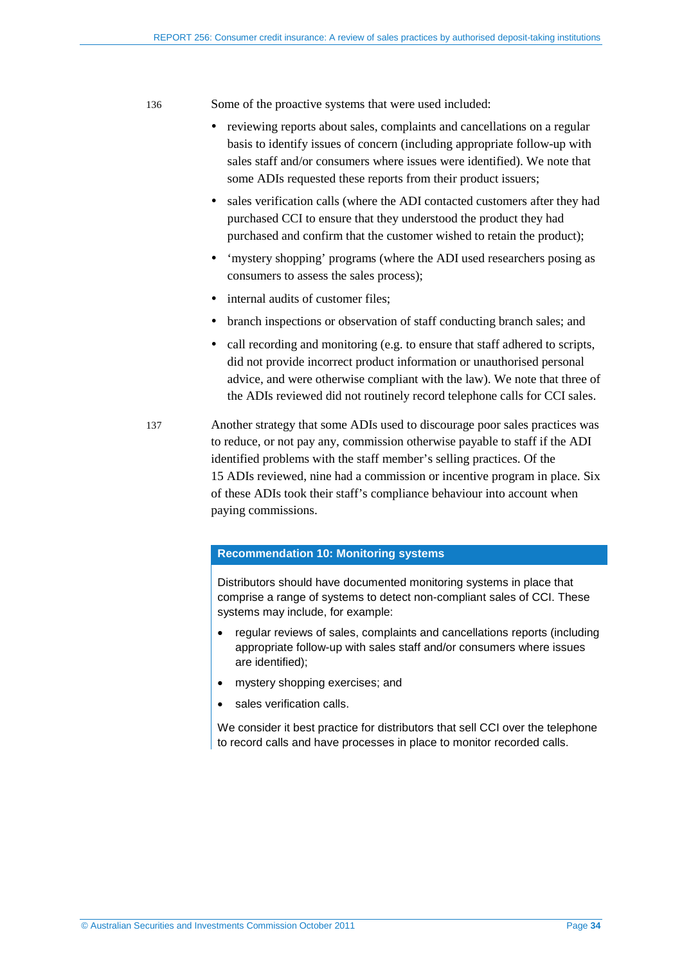136 Some of the proactive systems that were used included:

- reviewing reports about sales, complaints and cancellations on a regular basis to identify issues of concern (including appropriate follow-up with sales staff and/or consumers where issues were identified). We note that some ADIs requested these reports from their product issuers;
- sales verification calls (where the ADI contacted customers after they had purchased CCI to ensure that they understood the product they had purchased and confirm that the customer wished to retain the product);
- 'mystery shopping' programs (where the ADI used researchers posing as consumers to assess the sales process);
- internal audits of customer files;
- branch inspections or observation of staff conducting branch sales; and
- call recording and monitoring (e.g. to ensure that staff adhered to scripts, did not provide incorrect product information or unauthorised personal advice, and were otherwise compliant with the law). We note that three of the ADIs reviewed did not routinely record telephone calls for CCI sales.
- 137 Another strategy that some ADIs used to discourage poor sales practices was to reduce, or not pay any, commission otherwise payable to staff if the ADI identified problems with the staff member's selling practices. Of the 15 ADIs reviewed, nine had a commission or incentive program in place. Six of these ADIs took their staff's compliance behaviour into account when paying commissions.

#### **Recommendation 10: Monitoring systems**

Distributors should have documented monitoring systems in place that comprise a range of systems to detect non-compliant sales of CCI. These systems may include, for example:

- regular reviews of sales, complaints and cancellations reports (including appropriate follow-up with sales staff and/or consumers where issues are identified);
- mystery shopping exercises; and
- sales verification calls.

We consider it best practice for distributors that sell CCI over the telephone to record calls and have processes in place to monitor recorded calls.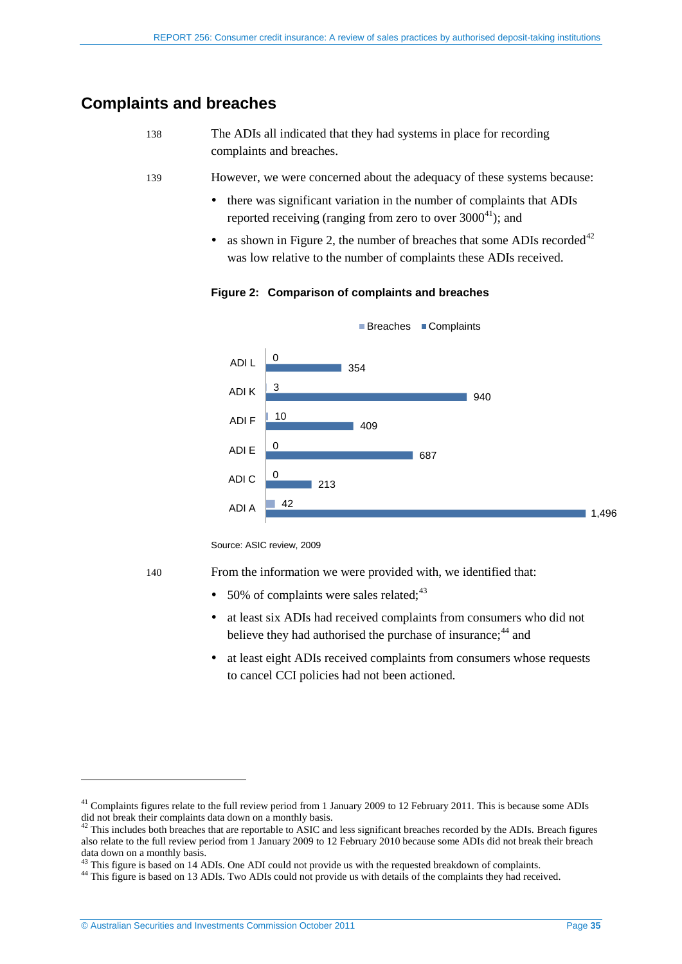## <span id="page-34-1"></span><span id="page-34-0"></span>**Complaints and breaches**

| -138 | The ADIs all indicated that they had systems in place for recording |
|------|---------------------------------------------------------------------|
|      | complaints and breaches.                                            |

- <span id="page-34-3"></span>139 However, we were concerned about the adequacy of these systems because:
	- there was significant variation in the number of complaints that ADIs reported receiving (ranging from zero to over  $3000^{41}$  $3000^{41}$  $3000^{41}$ ); and
	- as shown in [Figure 2,](#page-34-3) the number of breaches that some ADIs recorded<sup>[42](#page-34-4)</sup> was low relative to the number of complaints these ADIs received.

**Figure 2: Comparison of complaints and breaches**



Source: ASIC review, 2009

<span id="page-34-2"></span>

-

140 From the information we were provided with, we identified that:

- $\bullet$  50% of complaints were sales related:  $43$
- at least six ADIs had received complaints from consumers who did not believe they had authorised the purchase of insurance;<sup>[44](#page-34-6)</sup> and
- at least eight ADIs received complaints from consumers whose requests to cancel CCI policies had not been actioned.

<sup>&</sup>lt;sup>41</sup> Complaints figures relate to the full review period from 1 January 2009 to 12 February 2011. This is because some ADIs did not break their complaints data down on a monthly basis.

<span id="page-34-4"></span> $42$  This includes both breaches that are reportable to ASIC and less significant breaches recorded by the ADIs. Breach figures also relate to the full review period from 1 January 2009 to 12 February 2010 because some ADIs did not break their breach data down on a monthly basis.<br><sup>43</sup> This figure is based on 14 ADIs. One ADI could not provide us with the requested breakdown of complaints.

<span id="page-34-6"></span><span id="page-34-5"></span><sup>&</sup>lt;sup>44</sup> This figure is based on 13 ADIs. Two ADIs could not provide us with details of the complaints they had received.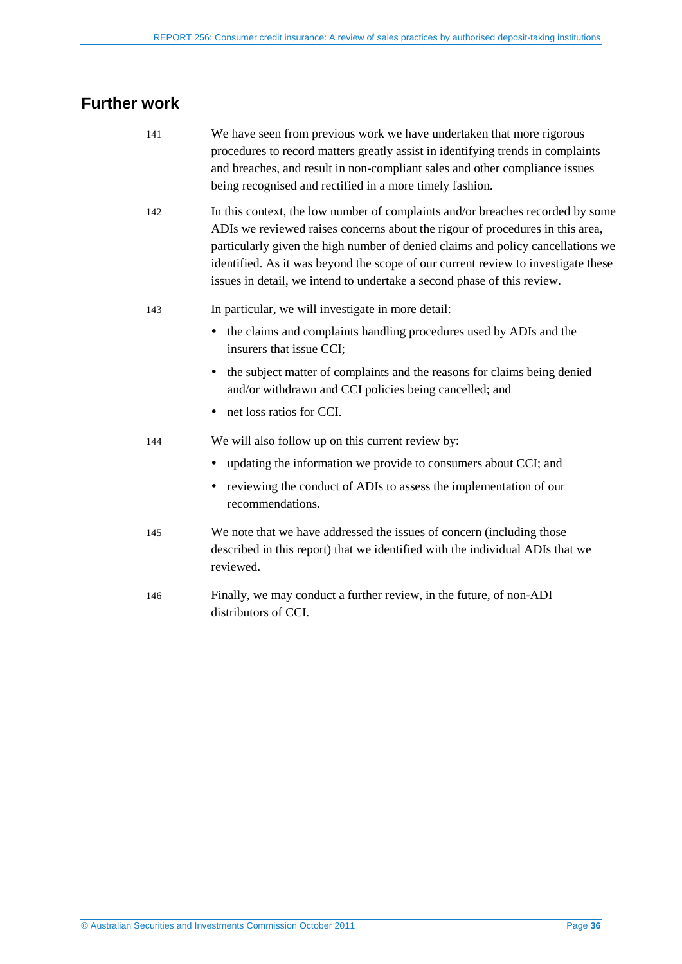# <span id="page-35-1"></span><span id="page-35-0"></span>**Further work**

<span id="page-35-3"></span><span id="page-35-2"></span>

| 141 | We have seen from previous work we have undertaken that more rigorous<br>procedures to record matters greatly assist in identifying trends in complaints<br>and breaches, and result in non-compliant sales and other compliance issues<br>being recognised and rectified in a more timely fashion.                                                                                                                |
|-----|--------------------------------------------------------------------------------------------------------------------------------------------------------------------------------------------------------------------------------------------------------------------------------------------------------------------------------------------------------------------------------------------------------------------|
| 142 | In this context, the low number of complaints and/or breaches recorded by some<br>ADIs we reviewed raises concerns about the rigour of procedures in this area,<br>particularly given the high number of denied claims and policy cancellations we<br>identified. As it was beyond the scope of our current review to investigate these<br>issues in detail, we intend to undertake a second phase of this review. |
| 143 | In particular, we will investigate in more detail:                                                                                                                                                                                                                                                                                                                                                                 |
|     | the claims and complaints handling procedures used by ADIs and the<br>insurers that issue CCI;                                                                                                                                                                                                                                                                                                                     |
|     | the subject matter of complaints and the reasons for claims being denied<br>and/or withdrawn and CCI policies being cancelled; and                                                                                                                                                                                                                                                                                 |
|     | net loss ratios for CCI.                                                                                                                                                                                                                                                                                                                                                                                           |
| 144 | We will also follow up on this current review by:                                                                                                                                                                                                                                                                                                                                                                  |
|     | updating the information we provide to consumers about CCI; and                                                                                                                                                                                                                                                                                                                                                    |
|     | reviewing the conduct of ADIs to assess the implementation of our<br>٠<br>recommendations.                                                                                                                                                                                                                                                                                                                         |
| 145 | We note that we have addressed the issues of concern (including those<br>described in this report) that we identified with the individual ADIs that we<br>reviewed.                                                                                                                                                                                                                                                |
| 146 | Finally, we may conduct a further review, in the future, of non-ADI<br>distributors of CCI.                                                                                                                                                                                                                                                                                                                        |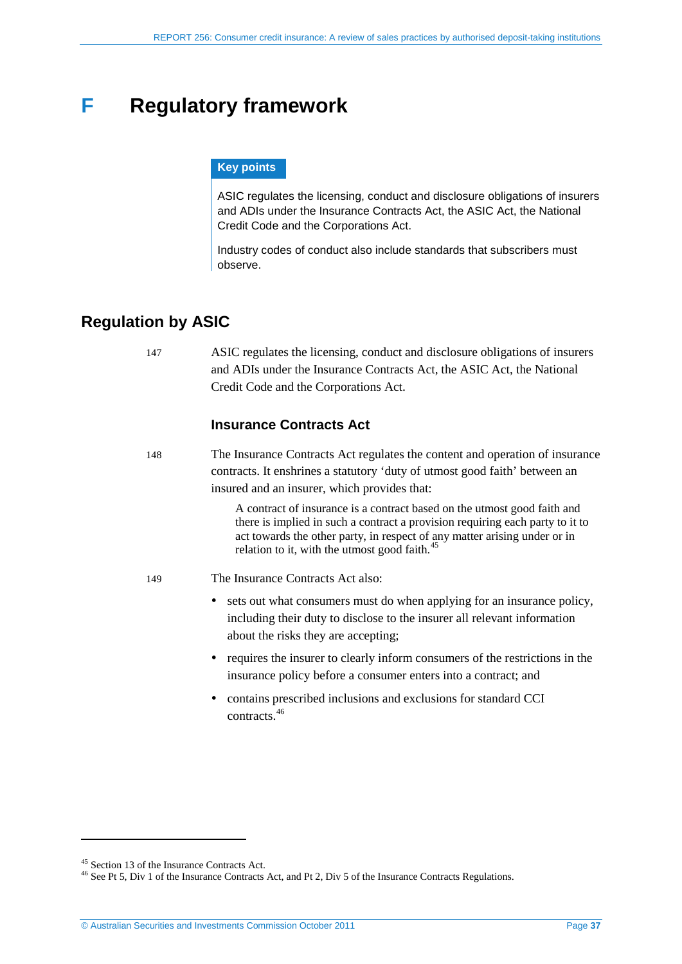# <span id="page-36-0"></span>**F Regulatory framework**

### **Key points**

ASIC regulates the licensing, conduct and disclosure obligations of insurers and ADIs under the Insurance Contracts Act, the ASIC Act, the National Credit Code and the Corporations Act.

Industry codes of conduct also include standards that subscribers must observe.

# <span id="page-36-1"></span>**Regulation by ASIC**

147 ASIC regulates the licensing, conduct and disclosure obligations of insurers and ADIs under the Insurance Contracts Act, the ASIC Act, the National Credit Code and the Corporations Act.

## **Insurance Contracts Act**

148 The Insurance Contracts Act regulates the content and operation of insurance contracts. It enshrines a statutory 'duty of utmost good faith' between an insured and an insurer, which provides that:

> A contract of insurance is a contract based on the utmost good faith and there is implied in such a contract a provision requiring each party to it to act towards the other party, in respect of any matter arising under or in relation to it, with the utmost good faith. $45$

149 The Insurance Contracts Act also:

- sets out what consumers must do when applying for an insurance policy, including their duty to disclose to the insurer all relevant information about the risks they are accepting;
- requires the insurer to clearly inform consumers of the restrictions in the insurance policy before a consumer enters into a contract; and
- contains prescribed inclusions and exclusions for standard CCI contracts.[46](#page-36-2)

<span id="page-36-3"></span><span id="page-36-2"></span><sup>&</sup>lt;sup>45</sup> Section 13 of the Insurance Contracts Act.<br><sup>46</sup> See Pt 5, Div 1 of the Insurance Contracts Act, and Pt 2, Div 5 of the Insurance Contracts Regulations.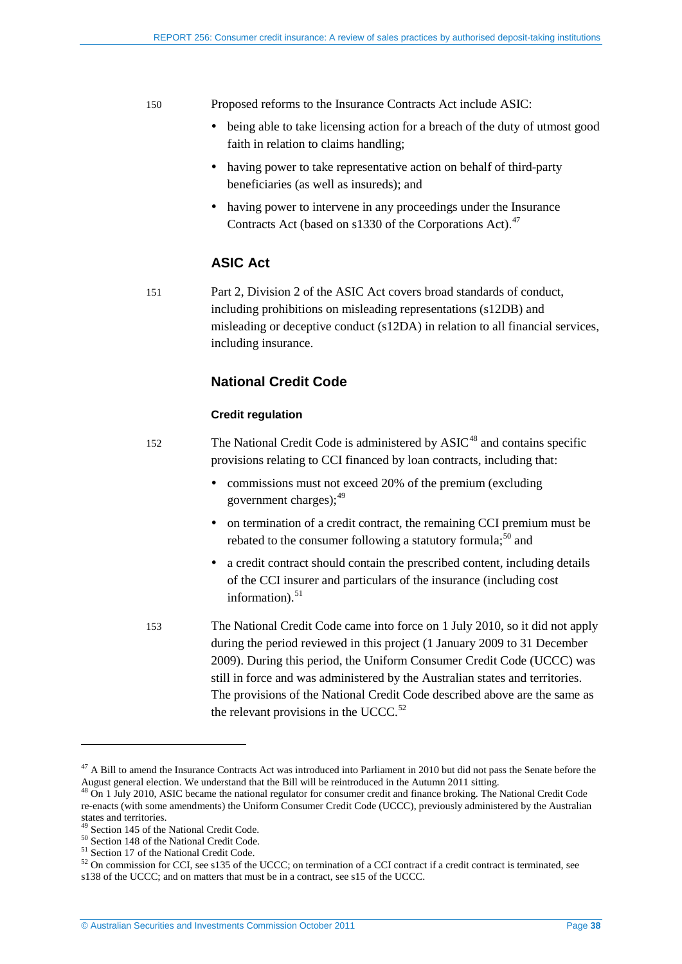#### 150 Proposed reforms to the Insurance Contracts Act include ASIC:

- being able to take licensing action for a breach of the duty of utmost good faith in relation to claims handling;
- having power to take representative action on behalf of third-party beneficiaries (as well as insureds); and
- having power to intervene in any proceedings under the Insurance Contracts Act (based on s1330 of the Corporations Act).<sup>[47](#page-36-3)</sup>

## **ASIC Act**

151 Part 2, Division 2 of the ASIC Act covers broad standards of conduct, including prohibitions on misleading representations (s12DB) and misleading or deceptive conduct (s12DA) in relation to all financial services, including insurance.

## **National Credit Code**

### **Credit regulation**

- 152 The National Credit Code is administered by  $\text{ASIC}^{48}$  $\text{ASIC}^{48}$  $\text{ASIC}^{48}$  and contains specific provisions relating to CCI financed by loan contracts, including that:
	- commissions must not exceed 20% of the premium (excluding government charges); $49$
	- on termination of a credit contract, the remaining CCI premium must be rebated to the consumer following a statutory formula;  $50$  and
	- a credit contract should contain the prescribed content, including details of the CCI insurer and particulars of the insurance (including cost information) $51$

-

153 The National Credit Code came into force on 1 July 2010, so it did not apply during the period reviewed in this project (1 January 2009 to 31 December 2009). During this period, the Uniform Consumer Credit Code (UCCC) was still in force and was administered by the Australian states and territories. The provisions of the National Credit Code described above are the same as the relevant provisions in the UCCC. $52$ 

<sup>&</sup>lt;sup>47</sup> A Bill to amend the Insurance Contracts Act was introduced into Parliament in 2010 but did not pass the Senate before the August general election. We understand that the Bill will be reintroduced in the Autumn 2011 sitting.<br><sup>48</sup> On 1 July 2010, ASIC became the national regulator for consumer credit and finance broking. The National Credit Cod

<span id="page-37-5"></span><span id="page-37-0"></span>re-enacts (with some amendments) the Uniform Consumer Credit Code (UCCC), previously administered by the Australian states and territories.<br><sup>49</sup> Section 145 of the National Credit Code.

<span id="page-37-4"></span><span id="page-37-3"></span>

<span id="page-37-2"></span><span id="page-37-1"></span><sup>&</sup>lt;sup>50</sup> Section 148 of the National Credit Code.<br>
<sup>51</sup> Section 17 of the National Credit Code.<br>
<sup>52</sup> On commission for CCI, see s135 of the UCCC; on termination of a CCI contract if a credit contract is terminated, see s138 of the UCCC; and on matters that must be in a contract, see s15 of the UCCC.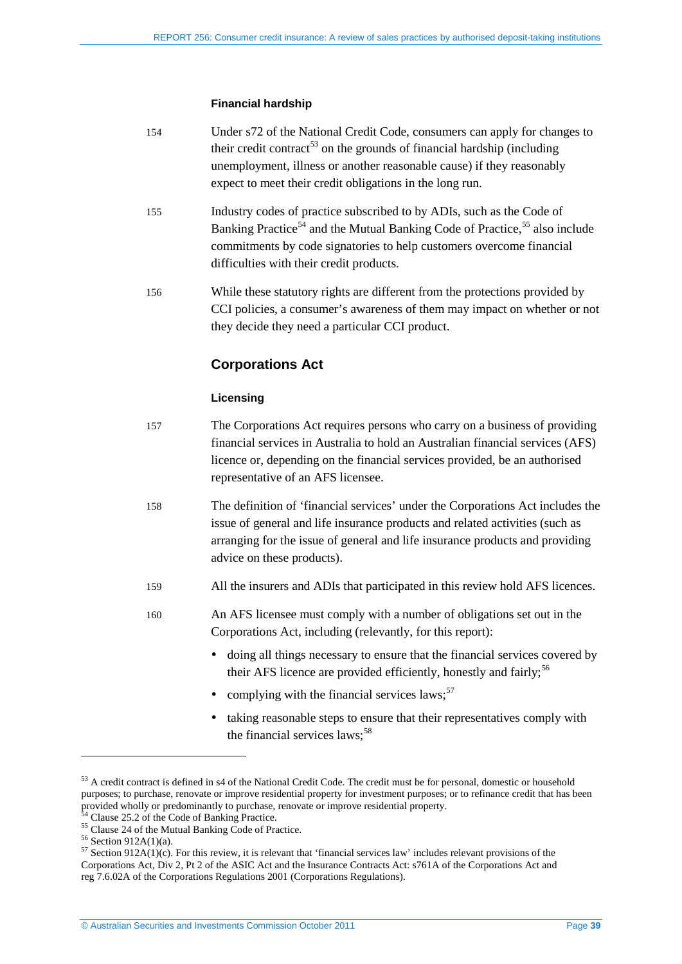#### **Financial hardship**

| 154 | Under s72 of the National Credit Code, consumers can apply for changes to           |
|-----|-------------------------------------------------------------------------------------|
|     | their credit contract <sup>53</sup> on the grounds of financial hardship (including |
|     | unemployment, illness or another reasonable cause) if they reasonably               |
|     | expect to meet their credit obligations in the long run.                            |

- <span id="page-38-6"></span>155 Industry codes of practice subscribed to by ADIs, such as the Code of Banking Practice<sup>[54](#page-38-0)</sup> and the Mutual Banking Code of Practice,<sup>[55](#page-38-1)</sup> also include commitments by code signatories to help customers overcome financial difficulties with their credit products.
- 156 While these statutory rights are different from the protections provided by CCI policies, a consumer's awareness of them may impact on whether or not they decide they need a particular CCI product.

## **Corporations Act**

### **Licensing**

- 157 The Corporations Act requires persons who carry on a business of providing financial services in Australia to hold an Australian financial services (AFS) licence or, depending on the financial services provided, be an authorised representative of an AFS licensee.
- 158 The definition of 'financial services' under the Corporations Act includes the issue of general and life insurance products and related activities (such as arranging for the issue of general and life insurance products and providing advice on these products).
- 159 All the insurers and ADIs that participated in this review hold AFS licences.
- 160 An AFS licensee must comply with a number of obligations set out in the Corporations Act, including (relevantly, for this report):
	- doing all things necessary to ensure that the financial services covered by their AFS licence are provided efficiently, honestly and fairly;<sup>[56](#page-38-2)</sup>
	- complying with the financial services laws: $57$
	- taking reasonable steps to ensure that their representatives comply with the financial services  $laws:58$  $laws:58$

<span id="page-38-5"></span><span id="page-38-4"></span><sup>&</sup>lt;sup>53</sup> A credit contract is defined in s4 of the National Credit Code. The credit must be for personal, domestic or household purposes; to purchase, renovate or improve residential property for investment purposes; or to refinance credit that has been

<span id="page-38-1"></span>

<span id="page-38-3"></span><span id="page-38-2"></span>

<span id="page-38-0"></span><sup>&</sup>lt;sup>54</sup> Clause 25.2 of the Code of Banking Practice.<br>
<sup>55</sup> Clause 24 of the Mutual Banking Code of Practice.<br>
<sup>56</sup> Section 912A(1)(a).<br>
<sup>57</sup> Section 912A(1)(c). For this review, it is relevant that 'financial services law' i Corporations Act, Div 2, Pt 2 of the ASIC Act and the Insurance Contracts Act: s761A of the Corporations Act and reg 7.6.02A of the Corporations Regulations 2001 (Corporations Regulations).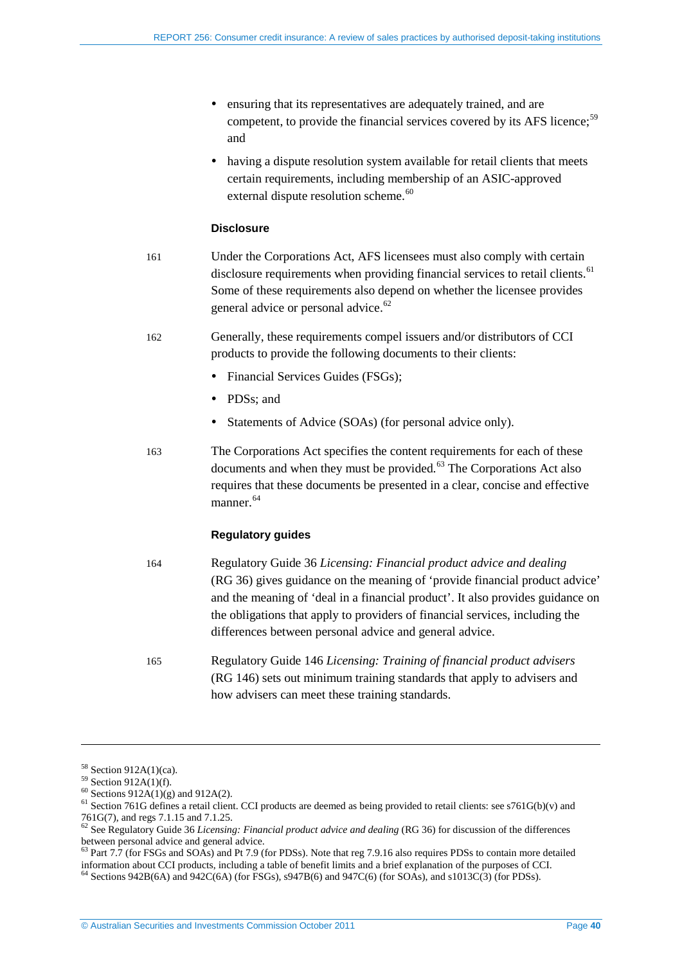- ensuring that its representatives are adequately trained, and are competent, to provide the financial services covered by its AFS licence;<sup>[59](#page-38-5)</sup> and
- having a dispute resolution system available for retail clients that meets certain requirements, including membership of an ASIC-approved external dispute resolution scheme.<sup>[60](#page-39-0)</sup>

#### **Disclosure**

- 161 Under the Corporations Act, AFS licensees must also comply with certain disclosure requirements when providing financial services to retail clients.<sup>[61](#page-39-1)</sup> Some of these requirements also depend on whether the licensee provides general advice or personal advice.<sup>[62](#page-39-2)</sup>
- 162 Generally, these requirements compel issuers and/or distributors of CCI products to provide the following documents to their clients:
	- Financial Services Guides (FSGs);
	- PDSs; and
	- Statements of Advice (SOAs) (for personal advice only).
- 163 The Corporations Act specifies the content requirements for each of these documents and when they must be provided. $63$  The Corporations Act also requires that these documents be presented in a clear, concise and effective manner.<sup>[64](#page-39-4)</sup>

## **Regulatory guides**

- 164 Regulatory Guide 36 *Licensing: Financial product advice and dealing*  (RG 36) gives guidance on the meaning of 'provide financial product advice' and the meaning of 'deal in a financial product'. It also provides guidance on the obligations that apply to providers of financial services, including the differences between personal advice and general advice.
- 165 Regulatory Guide 146 *Licensing: Training of financial product advisers* (RG 146) sets out minimum training standards that apply to advisers and how advisers can meet these training standards.

<span id="page-39-0"></span>

<sup>&</sup>lt;sup>58</sup> Section 912A(1)(ca).<br><sup>59</sup> Section 912A(1)(f).<br><sup>60</sup> Sections 912A(1)(g) and 912A(2).<br><sup>61</sup> Section 761G defines a retail client. CCI products are deemed as being provided to retail clients: see s761G(b)(v) and 761G(7), and regs 7.1.15 and 7.1.25. <sup>62</sup> See Regulatory Guide 36 *Licensing: Financial product advice and dealing* (RG 36) for discussion of the differences

<span id="page-39-2"></span><span id="page-39-1"></span>

between personal advice and general advice.<br><sup>63</sup> Part 7.7 (for FSGs and SOAs) and Pt 7.9 (for PDSs). Note that reg 7.9.16 also requires PDSs to contain more detailed

<span id="page-39-5"></span><span id="page-39-4"></span><span id="page-39-3"></span>information about CCI products, including a table of benefit limits and a brief explanation of the purposes of CCI. 64 Sections 942B(6A) and 942C(6A) (for FSGs), s947B(6) and 947C(6) (for SOAs), and s1013C(3) (for PDSs).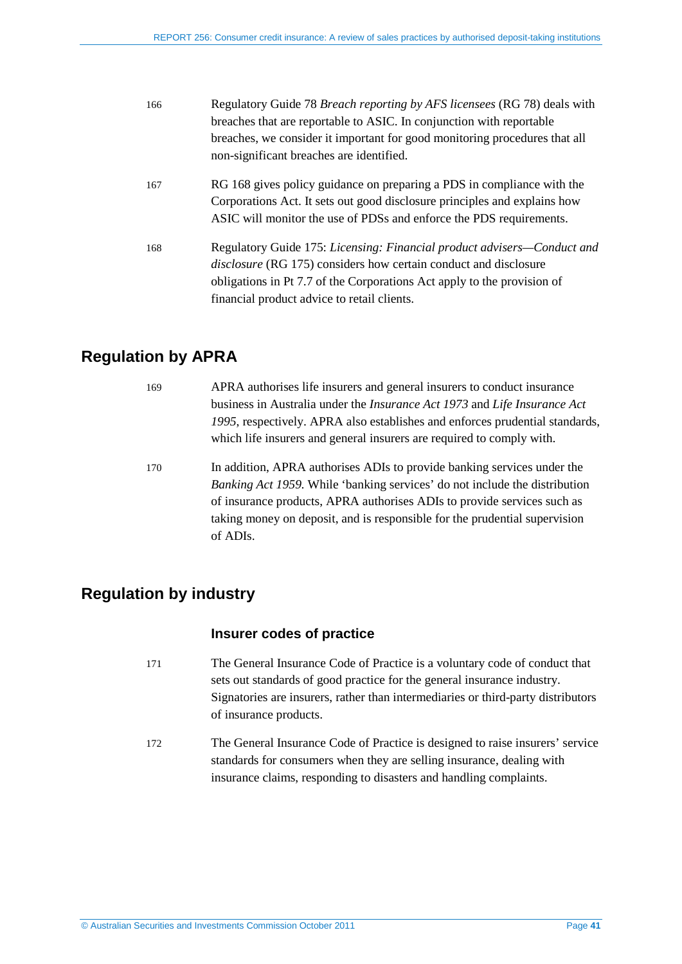| 166 | Regulatory Guide 78 Breach reporting by AFS licensees (RG 78) deals with   |
|-----|----------------------------------------------------------------------------|
|     | breaches that are reportable to ASIC. In conjunction with reportable       |
|     | breaches, we consider it important for good monitoring procedures that all |
|     | non-significant breaches are identified.                                   |
| 167 | RG 168 gives policy guidance on preparing a PDS in compliance with the     |
|     | Corporations Act. It sets out good disclosure principles and explains how  |
|     | ASIC will monitor the use of PDSs and enforce the PDS requirements.        |
| 168 | Regulatory Guide 175: Licensing: Financial product advisers—Conduct and    |
|     | <i>disclosure</i> (RG 175) considers how certain conduct and disclosure    |
|     | obligations in Pt 7.7 of the Corporations Act apply to the provision of    |
|     | financial product advice to retail clients.                                |
|     |                                                                            |

# <span id="page-40-0"></span>**Regulation by APRA**

| 169 | APRA authorises life insurers and general insurers to conduct insurance                 |
|-----|-----------------------------------------------------------------------------------------|
|     | business in Australia under the <i>Insurance Act 1973</i> and <i>Life Insurance Act</i> |
|     | 1995, respectively. APRA also establishes and enforces prudential standards,            |
|     | which life insurers and general insurers are required to comply with.                   |
|     |                                                                                         |

170 In addition, APRA authorises ADIs to provide banking services under the *Banking Act 1959.* While 'banking services' do not include the distribution of insurance products, APRA authorises ADIs to provide services such as taking money on deposit, and is responsible for the prudential supervision of ADIs.

# <span id="page-40-1"></span>**Regulation by industry**

## **Insurer codes of practice**

- 171 The General Insurance Code of Practice is a voluntary code of conduct that sets out standards of good practice for the general insurance industry. Signatories are insurers, rather than intermediaries or third-party distributors of insurance products.
- 172 The General Insurance Code of Practice is designed to raise insurers' service standards for consumers when they are selling insurance, dealing with insurance claims, responding to disasters and handling complaints.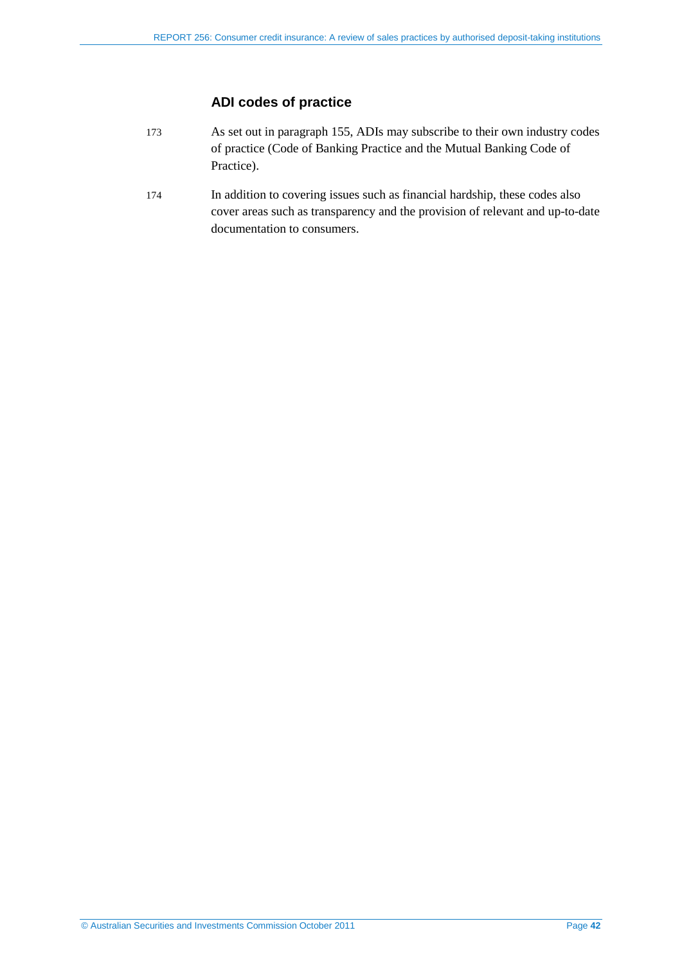## **ADI codes of practice**

- 173 As set out in paragraph [155,](#page-38-6) ADIs may subscribe to their own industry codes of practice (Code of Banking Practice and the Mutual Banking Code of Practice).
- 174 In addition to covering issues such as financial hardship, these codes also cover areas such as transparency and the provision of relevant and up-to-date documentation to consumers.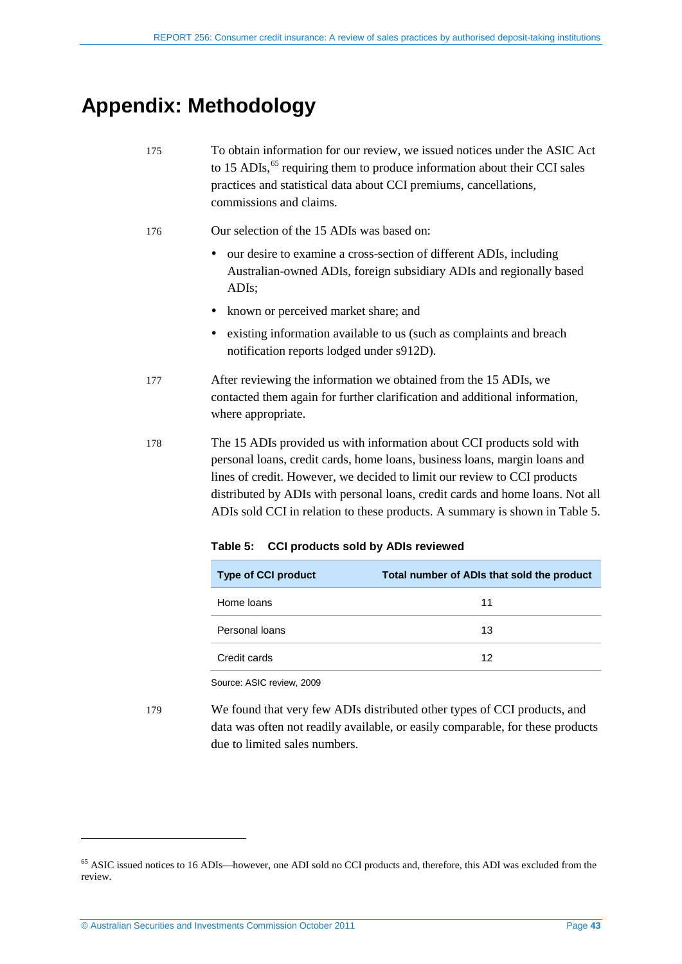# <span id="page-42-0"></span>**Appendix: Methodology**

| 175 | To obtain information for our review, we issued notices under the ASIC Act            |
|-----|---------------------------------------------------------------------------------------|
|     | to 15 ADIs, <sup>65</sup> requiring them to produce information about their CCI sales |
|     | practices and statistical data about CCI premiums, cancellations,                     |
|     | commissions and claims.                                                               |

- 176 Our selection of the 15 ADIs was based on:
	- our desire to examine a cross-section of different ADIs, including Australian-owned ADIs, foreign subsidiary ADIs and regionally based ADIs;
	- known or perceived market share; and
	- existing information available to us (such as complaints and breach notification reports lodged under s912D).
- 177 After reviewing the information we obtained from the 15 ADIs, we contacted them again for further clarification and additional information, where appropriate.
- <span id="page-42-1"></span>178 The 15 ADIs provided us with information about CCI products sold with personal loans, credit cards, home loans, business loans, margin loans and lines of credit. However, we decided to limit our review to CCI products distributed by ADIs with personal loans, credit cards and home loans. Not all ADIs sold CCI in relation to these products. A summary is shown in [Table 5.](#page-42-1)

| <b>Type of CCI product</b> | Total number of ADIs that sold the product |
|----------------------------|--------------------------------------------|
| Home loans                 | 11                                         |
| Personal loans             | 13                                         |
| Credit cards               | 12                                         |

**Table 5: CCI products sold by ADIs reviewed**

Source: ASIC review, 2009

179 We found that very few ADIs distributed other types of CCI products, and data was often not readily available, or easily comparable, for these products due to limited sales numbers.

<span id="page-42-2"></span><sup>&</sup>lt;sup>65</sup> ASIC issued notices to 16 ADIs—however, one ADI sold no CCI products and, therefore, this ADI was excluded from the review.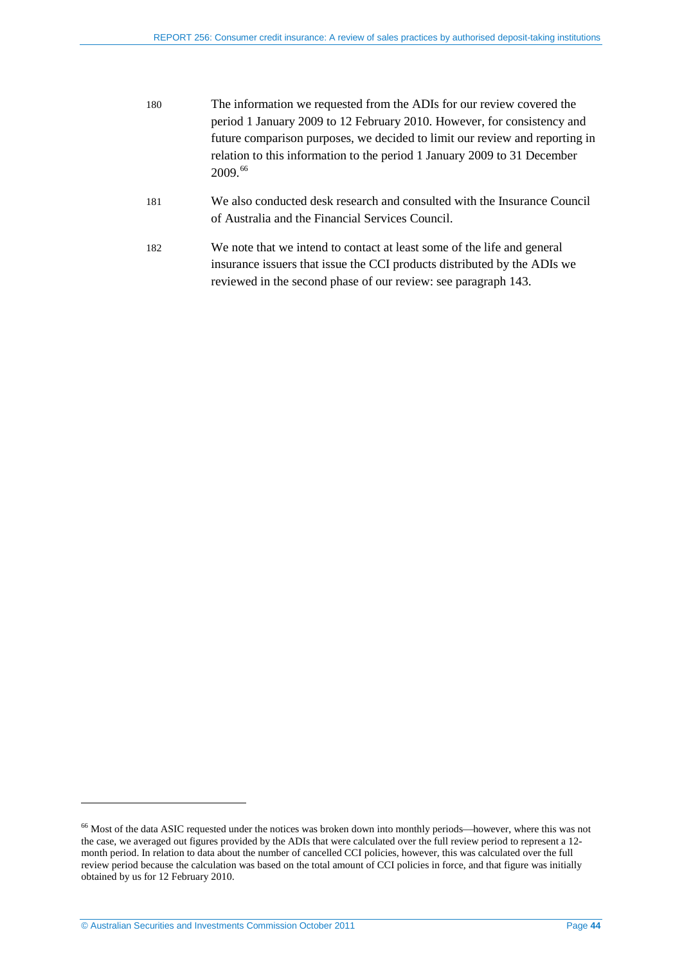| 180 | The information we requested from the ADIs for our review covered the       |
|-----|-----------------------------------------------------------------------------|
|     | period 1 January 2009 to 12 February 2010. However, for consistency and     |
|     | future comparison purposes, we decided to limit our review and reporting in |
|     | relation to this information to the period 1 January 2009 to 31 December    |
|     | 2009.66                                                                     |

- 181 We also conducted desk research and consulted with the Insurance Council of Australia and the Financial Services Council.
- 182 We note that we intend to contact at least some of the life and general insurance issuers that issue the CCI products distributed by the ADIs we reviewed in the second phase of our review: see paragraph [143.](#page-35-3)

<sup>&</sup>lt;sup>66</sup> Most of the data ASIC requested under the notices was broken down into monthly periods—however, where this was not the case, we averaged out figures provided by the ADIs that were calculated over the full review period to represent a 12 month period. In relation to data about the number of cancelled CCI policies, however, this was calculated over the full review period because the calculation was based on the total amount of CCI policies in force, and that figure was initially obtained by us for 12 February 2010.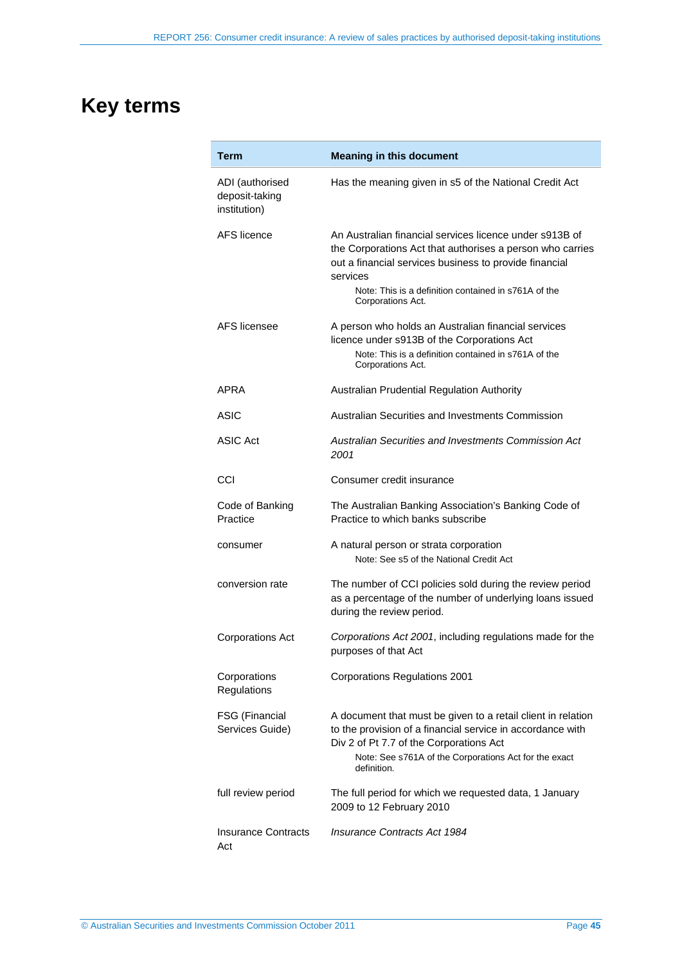# <span id="page-44-0"></span>**Key terms**

| Term                                              | <b>Meaning in this document</b>                                                                                                                                                                                                                                         |
|---------------------------------------------------|-------------------------------------------------------------------------------------------------------------------------------------------------------------------------------------------------------------------------------------------------------------------------|
| ADI (authorised<br>deposit-taking<br>institution) | Has the meaning given in s5 of the National Credit Act                                                                                                                                                                                                                  |
| <b>AFS</b> licence                                | An Australian financial services licence under s913B of<br>the Corporations Act that authorises a person who carries<br>out a financial services business to provide financial<br>services<br>Note: This is a definition contained in s761A of the<br>Corporations Act. |
| AFS licensee                                      | A person who holds an Australian financial services<br>licence under s913B of the Corporations Act<br>Note: This is a definition contained in s761A of the<br>Corporations Act.                                                                                         |
| APRA                                              | Australian Prudential Regulation Authority                                                                                                                                                                                                                              |
| <b>ASIC</b>                                       | Australian Securities and Investments Commission                                                                                                                                                                                                                        |
| <b>ASIC Act</b>                                   | Australian Securities and Investments Commission Act<br>2001                                                                                                                                                                                                            |
| CCI                                               | Consumer credit insurance                                                                                                                                                                                                                                               |
| Code of Banking<br>Practice                       | The Australian Banking Association's Banking Code of<br>Practice to which banks subscribe                                                                                                                                                                               |
| consumer                                          | A natural person or strata corporation<br>Note: See s5 of the National Credit Act                                                                                                                                                                                       |
| conversion rate                                   | The number of CCI policies sold during the review period<br>as a percentage of the number of underlying loans issued<br>during the review period.                                                                                                                       |
| <b>Corporations Act</b>                           | Corporations Act 2001, including regulations made for the<br>purposes of that Act                                                                                                                                                                                       |
| Corporations<br>Regulations                       | <b>Corporations Regulations 2001</b>                                                                                                                                                                                                                                    |
| FSG (Financial<br>Services Guide)                 | A document that must be given to a retail client in relation<br>to the provision of a financial service in accordance with<br>Div 2 of Pt 7.7 of the Corporations Act<br>Note: See s761A of the Corporations Act for the exact<br>definition.                           |
| full review period                                | The full period for which we requested data, 1 January<br>2009 to 12 February 2010                                                                                                                                                                                      |
| <b>Insurance Contracts</b><br>Act                 | Insurance Contracts Act 1984                                                                                                                                                                                                                                            |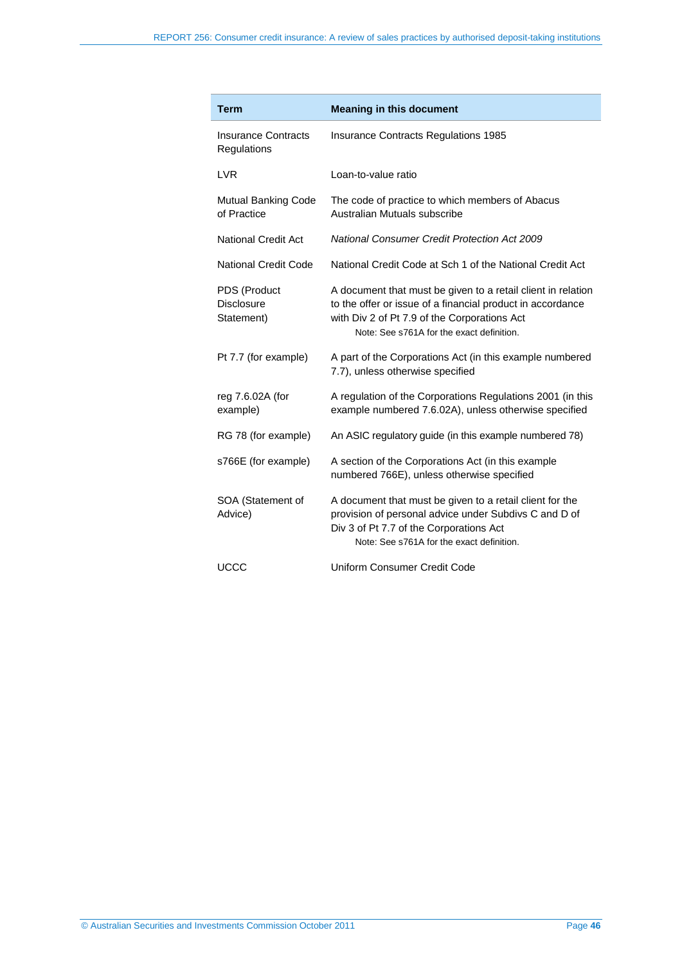| <b>Term</b>                                     | <b>Meaning in this document</b>                                                                                                                                                                                         |
|-------------------------------------------------|-------------------------------------------------------------------------------------------------------------------------------------------------------------------------------------------------------------------------|
| <b>Insurance Contracts</b><br>Regulations       | <b>Insurance Contracts Regulations 1985</b>                                                                                                                                                                             |
| <b>LVR</b>                                      | Loan-to-value ratio                                                                                                                                                                                                     |
| Mutual Banking Code<br>of Practice              | The code of practice to which members of Abacus<br>Australian Mutuals subscribe                                                                                                                                         |
| <b>National Credit Act</b>                      | <b>National Consumer Credit Protection Act 2009</b>                                                                                                                                                                     |
| National Credit Code                            | National Credit Code at Sch 1 of the National Credit Act                                                                                                                                                                |
| PDS (Product<br><b>Disclosure</b><br>Statement) | A document that must be given to a retail client in relation<br>to the offer or issue of a financial product in accordance<br>with Div 2 of Pt 7.9 of the Corporations Act<br>Note: See s761A for the exact definition. |
| Pt 7.7 (for example)                            | A part of the Corporations Act (in this example numbered<br>7.7), unless otherwise specified                                                                                                                            |
| reg 7.6.02A (for<br>example)                    | A regulation of the Corporations Regulations 2001 (in this<br>example numbered 7.6.02A), unless otherwise specified                                                                                                     |
| RG 78 (for example)                             | An ASIC regulatory guide (in this example numbered 78)                                                                                                                                                                  |
| s766E (for example)                             | A section of the Corporations Act (in this example<br>numbered 766E), unless otherwise specified                                                                                                                        |
| SOA (Statement of<br>Advice)                    | A document that must be given to a retail client for the<br>provision of personal advice under Subdivs C and D of<br>Div 3 of Pt 7.7 of the Corporations Act<br>Note: See s761A for the exact definition.               |
| <b>UCCC</b>                                     | Uniform Consumer Credit Code                                                                                                                                                                                            |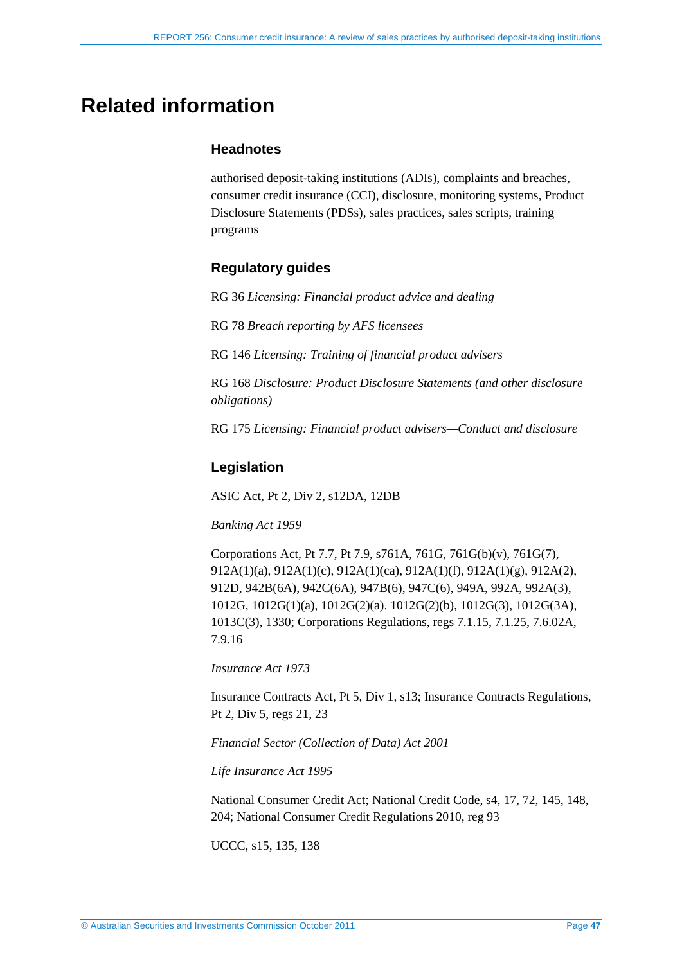# <span id="page-46-0"></span>**Related information**

## **Headnotes**

authorised deposit-taking institutions (ADIs), complaints and breaches, consumer credit insurance (CCI), disclosure, monitoring systems, Product Disclosure Statements (PDSs), sales practices, sales scripts, training programs

## **Regulatory guides**

RG 36 *Licensing: Financial product advice and dealing*

RG 78 *Breach reporting by AFS licensees*

RG 146 *Licensing: Training of financial product advisers*

RG 168 *Disclosure: Product Disclosure Statements (and other disclosure obligations)*

RG 175 *Licensing: Financial product advisers—Conduct and disclosure*

## **Legislation**

ASIC Act, Pt 2, Div 2, s12DA, 12DB

## *Banking Act 1959*

Corporations Act, Pt 7.7, Pt 7.9, s761A, 761G, 761G(b)(v), 761G(7), 912A(1)(a), 912A(1)(c), 912A(1)(ca), 912A(1)(f), 912A(1)(g), 912A(2), 912D, 942B(6A), 942C(6A), 947B(6), 947C(6), 949A, 992A, 992A(3), 1012G, 1012G(1)(a), 1012G(2)(a). 1012G(2)(b), 1012G(3), 1012G(3A), 1013C(3), 1330; Corporations Regulations, regs 7.1.15, 7.1.25, 7.6.02A, 7.9.16

*Insurance Act 1973*

Insurance Contracts Act, Pt 5, Div 1, s13; Insurance Contracts Regulations, Pt 2, Div 5, regs 21, 23

*Financial Sector (Collection of Data) Act 2001*

*Life Insurance Act 1995*

National Consumer Credit Act; National Credit Code, s4, 17, 72, 145, 148, 204; National Consumer Credit Regulations 2010, reg 93

UCCC, s15, 135, 138